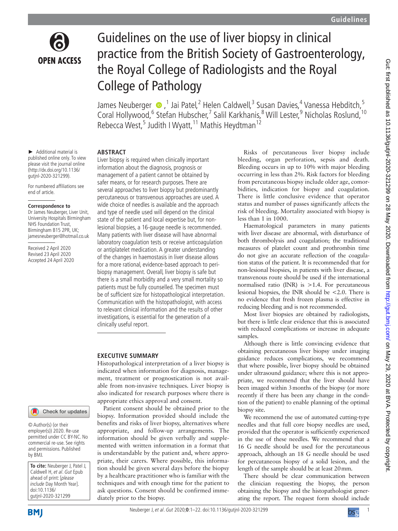

# Guidelines on the use of liver biopsy in clinical practice from the British Society of Gastroenterology, the Royal College of Radiologists and the Royal College of Pathology

James Neuberger  $\bullet$  ,<sup>1</sup> Jai Patel,<sup>2</sup> Helen Caldwell,<sup>3</sup> Susan Davies,<sup>4</sup> Vanessa Hebditch,<sup>5</sup> Coral Hollywood, <sup>6</sup> Stefan Hubscher, <sup>7</sup> Salil Karkhanis, <sup>8</sup> Will Lester, <sup>9</sup> Nicholas Roslund, <sup>10</sup> Rebecca West,<sup>5</sup> Judith I Wyatt,<sup>11</sup> Mathis Heydtman<sup>12</sup>

#### ► Additional material is published online only. To view please visit the journal online [\(http://dx.doi.org/10.1136/](http://dx.doi.org/10.1136/gutjnl-2020-321299) [gutjnl-2020-321299\)](http://dx.doi.org/10.1136/gutjnl-2020-321299).

For numbered affiliations see end of article.

#### **Correspondence to**

Dr James Neuberger, Liver Unit, University Hospitals Birmingham NHS Foundation Trust, Birmingham B15 2PR, UK; jamesneuberger@hotmail.co.uk

Received 2 April 2020 Revised 23 April 2020 Accepted 24 April 2020

# **Abstract**

Liver biopsy is required when clinically important information about the diagnosis, prognosis or management of a patient cannot be obtained by safer means, or for research purposes. There are several approaches to liver biopsy but predominantly percutaneous or transvenous approaches are used. A wide choice of needles is available and the approach and type of needle used will depend on the clinical state of the patient and local expertise but, for nonlesional biopsies, a 16-gauge needle is recommended. Many patients with liver disease will have abnormal laboratory coagulation tests or receive anticoagulation or antiplatelet medication. A greater understanding of the changes in haemostasis in liver disease allows for a more rational, evidence-based approach to peribiopsy management. Overall, liver biopsy is safe but there is a small morbidity and a very small mortality so patients must be fully counselled. The specimen must be of sufficient size for histopathological interpretation. Communication with the histopathologist, with access to relevant clinical information and the results of other investigations, is essential for the generation of a clinically useful report.

# **Executive summary**

Histopathological interpretation of a liver biopsy is indicated when information for diagnosis, management, treatment or prognostication is not available from non-invasive techniques. Liver biopsy is also indicated for research purposes where there is appropriate ethics approval and consent.

Patient consent should be obtained prior to the biopsy. Information provided should include the benefits and risks of liver biopsy, alternatives where appropriate, and follow-up arrangements. The information should be given verbally and supplemented with written information in a format that is understandable by the patient and, where appropriate, their carers. Where possible, this information should be given several days before the biopsy by a healthcare practitioner who is familiar with the techniques and with enough time for the patient to ask questions. Consent should be confirmed immediately prior to the biopsy.

Risks of percutaneous liver biopsy include bleeding, organ perforation, sepsis and death. Bleeding occurs in up to 10% with major bleeding occurring in less than 2%. Risk factors for bleeding from percutaneous biopsy include older age, comorbidities, indication for biopsy and coagulation. There is little conclusive evidence that operator status and number of passes significantly affects the risk of bleeding. Mortality associated with biopsy is less than 1 in 1000.

Haematological parameters in many patients with liver disease are abnormal, with disturbance of both thrombolysis and coagulation; the traditional measures of platelet count and prothrombin time do not give an accurate reflection of the coagulation status of the patient. It is recommended that for non-lesional biopsies, in patients with liver disease, a transvenous route should be used if the international normalised ratio (INR) is  $>1.4$ . For percutaneous lesional biopsies, the INR should be  $\lt$  2.0. There is no evidence that fresh frozen plasma is effective in reducing bleeding and is not recommended.

Most liver biopsies are obtained by radiologists, but there is little clear evidence that this is associated with reduced complications or increase in adequate samples.

Although there is little convincing evidence that obtaining percutaneous liver biopsy under imaging guidance reduces complications, we recommend that where possible, liver biopsy should be obtained under ultrasound guidance; where this is not appropriate, we recommend that the liver should have been imaged within 3months of the biopsy (or more recently if there has been any change in the condition of the patient) to enable planning of the optimal biopsy site.

We recommend the use of automated cutting-type needles and that full core biopsy needles are used, provided that the operator is sufficiently experienced in the use of these needles. We recommend that a 16 G needle should be used for the percutaneous approach, although an 18 G needle should be used for percutaneous biopsy of a solid lesion, and the length of the sample should be at least 20mm.

There should be clear communication between the clinician requesting the biopsy, the person obtaining the biopsy and the histopathologist generating the report. The request form should include

Check for updates

© Author(s) (or their employer(s)) 2020. Re-use permitted under CC BY-NC. No commercial re-use. See rights and permissions. Published by BMJ.

**To cite:** Neuberger J, Patel J, Caldwell H, et al. Gut Epub ahead of print: [please include Day Month Year]. doi:10.1136/ gutjnl-2020-321299

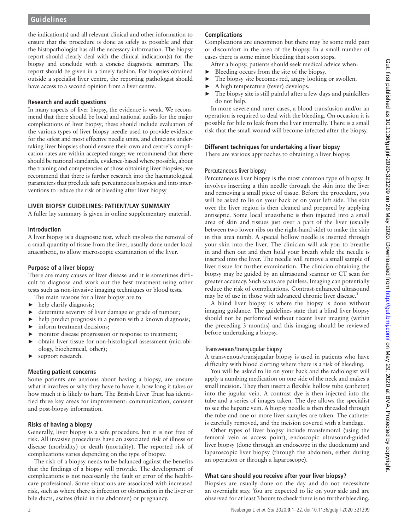# **Guidelines**

the indication(s) and all relevant clinical and other information to ensure that the procedure is done as safely as possible and that the histopathologist has all the necessary information. The biopsy report should clearly deal with the clinical indication(s) for the biopsy and conclude with a concise diagnostic summary. The report should be given in a timely fashion. For biopsies obtained outside a specialist liver centre, the reporting pathologist should have access to a second opinion from a liver centre.

#### **Research and audit questions**

In many aspects of liver biopsy, the evidence is weak. We recommend that there should be local and national audits for the major complications of liver biopsy; these should include evaluation of the various types of liver biopsy needle used to provide evidence for the safest and most effective needle units, and clinicians undertaking liver biopsies should ensure their own and centre's complication rates are within accepted range; we recommend that there should be national standards, evidence-based where possible, about the training and competencies of those obtaining liver biopsies; we recommend that there is further research into the haematological parameters that preclude safe percutaneous biopsies and into interventions to reduce the risk of bleeding after liver biopsy

# **LIVER BIOPSY GUIDELINES: PATIENT/LAY SUMMARY**

A fuller lay summary is given in [online supplementary material.](https://dx.doi.org/10.1136/gutjnl-2020-321299)

#### **Introduction**

A liver biopsy is a diagnostic test, which involves the removal of a small quantity of tissue from the liver, usually done under local anaesthetic, to allow microscopic examination of the liver.

#### **Purpose of a liver biopsy**

There are many causes of liver disease and it is sometimes difficult to diagnose and work out the best treatment using other tests such as non-invasive imaging techniques or blood tests.

- The main reasons for a liver biopsy are to
- $\blacktriangleright$  help clarify diagnosis;
- ► determine severity of liver damage or grade of tumour;
- ► help predict prognosis in a person with a known diagnosis; ► inform treatment decisions;
- ► monitor disease progression or response to treatment;
- ► obtain liver tissue for non-histological assessment (microbiology, biochemical, other);
- support research.

#### **Meeting patient concerns**

Some patients are anxious about having a biopsy, are unsure what it involves or why they have to have it, how long it takes or how much it is likely to hurt. The British Liver Trust has identified three key areas for improvement: communication, consent and post-biopsy information.

#### **Risks of having a biopsy**

Generally, liver biopsy is a safe procedure, but it is not free of risk. All invasive procedures have an associated risk of illness or disease (morbidity) or death (mortality). The reported risk of complications varies depending on the type of biopsy.

The risk of a biopsy needs to be balanced against the benefits that the findings of a biopsy will provide. The development of complications is not necessarily the fault or error of the healthcare professional. Some situations are associated with increased risk, such as where there is infection or obstruction in the liver or bile ducts, ascites (fluid in the abdomen) or pregnancy.

# **Complications**

Complications are uncommon but there may be some mild pain or discomfort in the area of the biopsy. In a small number of cases there is some minor bleeding that soon stops.

After a biopsy, patients should seek medical advice when:

- ► Bleeding occurs from the site of the biopsy.
- The biopsy site becomes red, angry looking or swollen.
- A high temperature (fever) develops.
- The biopsy site is still painful after a few days and painkillers do not help.

In more severe and rarer cases, a blood transfusion and/or an operation is required to deal with the bleeding. On occasion it is possible for bile to leak from the liver internally. There is a small risk that the small wound will become infected after the biopsy.

#### **Different techniques for undertaking a liver biopsy**

There are various approaches to obtaining a liver biopsy.

#### Percutaneous liver biopsy

Percutaneous liver biopsy is the most common type of biopsy. It involves inserting a thin needle through the skin into the liver and removing a small piece of tissue. Before the procedure, you will be asked to lie on your back or on your left side. The skin over the liver region is then cleaned and prepared by applying antiseptic. Some local anaesthetic is then injected into a small area of skin and tissues just over a part of the liver (usually between two lower ribs on the right-hand side) to make the skin in this area numb. A special hollow needle is inserted through your skin into the liver. The clinician will ask you to breathe in and then out and then hold your breath while the needle is inserted into the liver. The needle will remove a small sample of liver tissue for further examination. The clinician obtaining the biopsy may be guided by an ultrasound scanner or CT scan for greater accuracy. Such scans are painless. Imaging can potentially reduce the risk of complications. Contrast-enhanced ultrasound may be of use in those with advanced chronic liver disease.<sup>[1](#page-18-0)</sup>

A blind liver biopsy is where the biopsy is done without imaging guidance. The guidelines state that a blind liver biopsy should not be performed without recent liver imaging (within the preceding 3 months) and this imaging should be reviewed before undertaking a biopsy.

# Transvenous/transjugular biopsy

A transvenous/transjugular biopsy is used in patients who have difficulty with blood clotting where there is a risk of bleeding.

You will be asked to lie on your back and the radiologist will apply a numbing medication on one side of the neck and makes a small incision. They then insert a flexible hollow tube (catheter) into the jugular vein. A contrast dye is then injected into the tube and a series of images taken. The dye allows the specialist to see the hepatic vein. A biopsy needle is then threaded through the tube and one or more liver samples are taken. The catheter is carefully removed, and the incision covered with a bandage.

Other types of liver biopsy include transfemoral (using the femoral vein as access point), endoscopic ultrasound-guided liver biopsy (done through an endoscope in the duodenum) and laparoscopic liver biopsy (through the abdomen, either during an operation or through a laparoscope).

# **What care should you receive after your liver biopsy?**

Biopsies are usually done on the day and do not necessitate an overnight stay. You are expected to lie on your side and are observed for at least 3hours to check there is no further bleeding.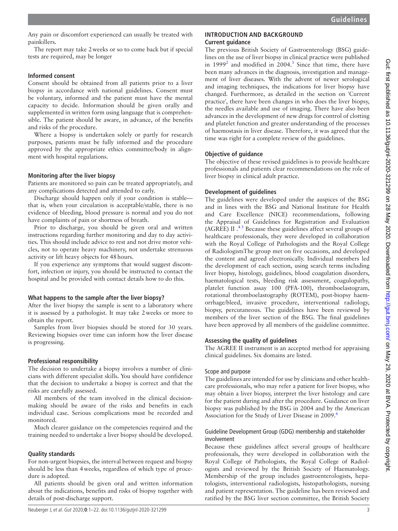Any pain or discomfort experienced can usually be treated with painkillers.

The report may take 2weeks or so to come back but if special tests are required, may be longer

#### **Informed consent**

Consent should be obtained from all patients prior to a liver biopsy in accordance with national guidelines. Consent must be voluntary, informed and the patient must have the mental capacity to decide. Information should be given orally and supplemented in written form using language that is comprehensible. The patient should be aware, in advance, of the benefits and risks of the procedure.

Where a biopsy is undertaken solely or partly for research purposes, patients must be fully informed and the procedure approved by the appropriate ethics committee/body in alignment with hospital regulations.

#### **Monitoring after the liver biopsy**

Patients are monitored so pain can be treated appropriately, and any complications detected and attended to early.

Discharge should happen only if your condition is stable that is, when your circulation is acceptable/stable, there is no evidence of bleeding, blood pressure is normal and you do not have complaints of pain or shortness of breath.

Prior to discharge, you should be given oral and written instructions regarding further monitoring and day to day activities. This should include advice to rest and not drive motor vehicles, not to operate heavy machinery, not undertake strenuous activity or lift heavy objects for 48hours.

If you experience any symptoms that would suggest discomfort, infection or injury, you should be instructed to contact the hospital and be provided with contact details how to do this.

#### **What happens to the sample after the liver biopsy?**

After the liver biopsy the sample is sent to a laboratory where it is assessed by a pathologist. It may take 2weeks or more to obtain the report.

Samples from liver biopsies should be stored for 30 years. Reviewing biopsies over time can inform how the liver disease is progressing.

# **Professional responsibility**

The decision to undertake a biopsy involves a number of clinicians with different specialist skills. You should have confidence that the decision to undertake a biopsy is correct and that the risks are carefully assessed.

All members of the team involved in the clinical decisionmaking should be aware of the risks and benefits in each individual case. Serious complications must be recorded and monitored.

Much clearer guidance on the competencies required and the training needed to undertake a liver biopsy should be developed.

#### **Quality standards**

For non-urgent biopsies, the interval between request and biopsy should be less than 4weeks, regardless of which type of procedure is adopted.

All patients should be given oral and written information about the indications, benefits and risks of biopsy together with details of post-discharge support.

#### **INTRODUCTION AND BACKGROUND Current guidance**

The previous British Society of Gastroenterology (BSG) guidelines on the use of liver biopsy in clinical practice were published in  $1999<sup>2</sup>$  $1999<sup>2</sup>$  $1999<sup>2</sup>$  and modified in 2004.<sup>[3](#page-18-2)</sup> Since that time, there have been many advances in the diagnosis, investigation and management of liver diseases. With the advent of newer serological and imaging techniques, the indications for liver biopsy have changed. Furthermore, as detailed in the section on 'Current practice', there have been changes in who does the liver biopsy, the needles available and use of imaging. There have also been advances in the development of new drugs for control of clotting and platelet function and greater understanding of the processes of haemostasis in liver disease. Therefore, it was agreed that the time was right for a complete review of the guidelines.

# **Objective of guidance**

The objective of these revised guidelines is to provide healthcare professionals and patients clear recommendations on the role of liver biopsy in clinical adult practice.

# **Development of guidelines**

The guidelines were developed under the auspices of the BSG and in lines with the BSG and National Institute for Health and Care Excellence (NICE) recommendations, following the Appraisal of Guidelines for Registration and Evaluation (AGREE) II  $.^45$  Because these guidelines affect several groups of healthcare professionals, they were developed in collaboration with the Royal College of Pathologists and the Royal College of RadiologistsThe group met on five occasions, and developed the content and agreed electronically. Individual members led the development of each section, using search terms including liver biopsy, histology, guidelines, blood coagulation disorders, haematological tests, bleeding risk assessment, coagulopathy, platelet function assay 100 (PFA-100), thromboelastogram, rotational thromboelastography (ROTEM), post-biopsy haemorrhage/bleed, invasive procedure, interventional radiology, biopsy, percutaneous. The guidelines have been reviewed by members of the liver section of the BSG. The final guidelines have been approved by all members of the guideline committee.

# **Assessing the quality of guidelines**

The AGREE II instrument is an accepted method for appraising clinical guidelines. Six domains are listed.

# Scope and purpose

The guidelines are intended for use by clinicians and other healthcare professionals, who may refer a patient for liver biopsy, who may obtain a liver biopsy, interpret the liver histology and care for the patient during and after the procedure. Guidance on liver biopsy was published by the BSG in 2004 and by the American Association for the Study of Liver Disease in 2009.<sup>[6](#page-18-4)</sup>

#### Guideline Development Group (GDG) membership and stakeholder involvement

Because these guidelines affect several groups of healthcare professionals, they were developed in collaboration with the Royal College of Pathologists, the Royal College of Radiologists and reviewed by the British Society of Haematology. Membership of the group includes gastroenterologists, hepatologists, interventional radiologists, histopathologists, nursing and patient representation. The guideline has been reviewed and ratified by the BSG liver section committee, the British Society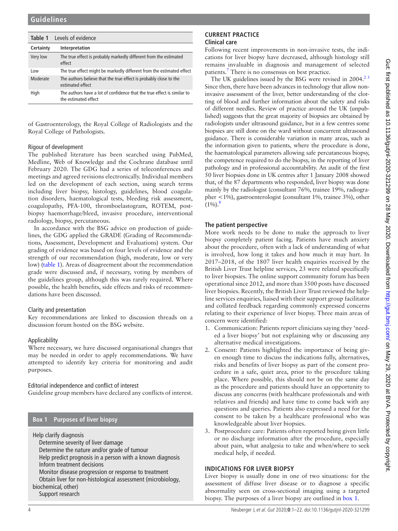<span id="page-3-0"></span>

| Table 1   | Levels of evidence                                                                              |  |  |
|-----------|-------------------------------------------------------------------------------------------------|--|--|
| Certainty | Interpretation                                                                                  |  |  |
| Very low  | The true effect is probably markedly different from the estimated<br>effect                     |  |  |
| Low       | The true effect might be markedly different from the estimated effect                           |  |  |
| Moderate  | The authors believe that the true effect is probably close to the<br>estimated effect           |  |  |
| High      | The authors have a lot of confidence that the true effect is similar to<br>the estimated effect |  |  |

of Gastroenterology, the Royal College of Radiologists and the Royal College of Pathologists.

# Rigour of development

The published literature has been searched using PubMed, Medline, Web of Knowledge and the Cochrane database until February 2020. The GDG had a series of teleconferences and meetings and agreed revisions electronically. Individual members led on the development of each section, using search terms including liver biopsy, histology, guidelines, blood coagulation disorders, haematological tests, bleeding risk assessment, coagulopathy, PFA-100, thromboelastogram, ROTEM, postbiopsy haemorrhage/bleed, invasive procedure, interventional radiology, biopsy, percutaneous.

In accordance with the BSG advice on production of guidelines, the GDG applied the GRADE (Grading of Recommendations, Assessment, Development and Evaluations) system. Our grading of evidence was based on four levels of evidence and the strength of our recommendation (high, moderate, low or very low) ([table](#page-3-0) 1). Areas of disagreement about the recommendation grade were discussed and, if necessary, voting by members of the guidelines group, although this was rarely required. Where possible, the health benefits, side effects and risks of recommendations have been discussed.

# Clarity and presentation

Key recommendations are linked to discussion threads on a discussion forum hosted on the BSG website.

# Applicability

Where necessary, we have discussed organisational changes that may be needed in order to apply recommendations. We have attempted to identify key criteria for monitoring and audit purposes.

# Editorial independence and conflict of interest

Guideline group members have declared any conflicts of interest.

# **Box 1 Purposes of liver biopsy**

<span id="page-3-1"></span>Help clarify diagnosis

Determine severity of liver damage

Determine the nature and/or grade of tumour

Help predict prognosis in a person with a known diagnosis Inform treatment decisions

Monitor disease progression or response to treatment

Obtain liver for non-histological assessment (microbiology,

biochemical, other)

Support research

#### **Current practice Clinical care**

Following recent improvements in non-invasive tests, the indications for liver biopsy have decreased, although histology still remains invaluable in diagnosis and management of selected patients.<sup>7</sup> There is no consensus on best practice.

The UK guidelines issued by the BSG were revised in 2004.<sup>23</sup> Since then, there have been advances in technology that allow noninvasive assessment of the liver, better understanding of the clotting of blood and further information about the safety and risks of different needles. Review of practice around the UK (unpublished) suggests that the great majority of biopsies are obtained by radiologists under ultrasound guidance, but in a few centres some biopsies are still done on the ward without concurrent ultrasound guidance. There is considerable variation in many areas, such as the information given to patients, where the procedure is done, the haematological parameters allowing safe percutaneous biopsy, the competence required to do the biopsy, in the reporting of liver pathology and in professional accountability. An audit of the first 50 liver biopsies done in UK centres after 1 January 2008 showed that, of the 87 departments who responded, liver biopsy was done mainly by the radiologist (consultant 76%, trainee 19%, radiographer <1%), gastroenterologist (consultant 1%, trainee 3%), other  $(1\%)$ .

# **The patient perspective**

More work needs to be done to make the approach to liver biopsy completely patient facing. Patients have much anxiety about the procedure, often with a lack of understanding of what is involved, how long it takes and how much it may hurt. In 2017–2018, of the 1807 liver health enquiries received by the British Liver Trust helpline services, 23 were related specifically to liver biopsies. The online support community forum has been operational since 2012, and more than 3500 posts have discussed liver biopsies. Recently, the British Liver Trust reviewed the helpline services enquiries, liaised with their support group facilitator and collated feedback regarding commonly expressed concerns relating to their experience of liver biopsy. Three main areas of concern were identified:

- 1. Communication: Patients report clinicians saying they 'needed a liver biopsy' but not explaining why or discussing any alternative medical investigations.
- 2. Consent: Patients highlighted the importance of being given enough time to discuss the indications fully, alternatives, risks and benefits of liver biopsy as part of the consent procedure in a safe, quiet area, prior to the procedure taking place. Where possible, this should not be on the same day as the procedure and patients should have an opportunity to discuss any concerns (with healthcare professionals and with relatives and friends) and have time to come back with any questions and queries. Patients also expressed a need for the consent to be taken by a healthcare professional who was knowledgeable about liver biopsies.
- 3. Postprocedure care: Patients often reported being given little or no discharge information after the procedure, especially about pain, what analgesia to take and when/where to seek medical help, if needed.

# **Indications for liver biopsy**

Liver biopsy is usually done in one of two situations: for the assessment of diffuse liver disease or to diagnose a specific abnormality seen on cross-sectional imaging using a targeted biopsy. The purposes of a liver biopsy are outlined in [box](#page-3-1) 1.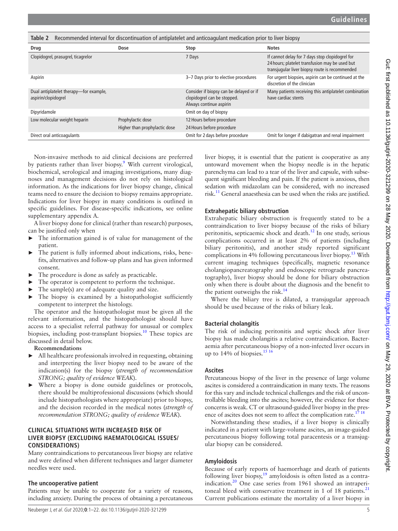| A<br>necommented interval for discontinuation or amplatelet and anticoaguiant medication prior to fiver biopsy |                               |                                                                                                   |                                                                                                                                                     |  |
|----------------------------------------------------------------------------------------------------------------|-------------------------------|---------------------------------------------------------------------------------------------------|-----------------------------------------------------------------------------------------------------------------------------------------------------|--|
| Drug                                                                                                           | Dose                          | Stop                                                                                              | <b>Notes</b>                                                                                                                                        |  |
| Clopidogrel, prasugrel, ticagrelor                                                                             |                               | 7 Days                                                                                            | If cannot delay for 7 days stop clopidogrel for<br>24 hours; platelet transfusion may be used but<br>transjugular liver biopsy route is recommended |  |
| Aspirin                                                                                                        |                               | 3-7 Days prior to elective procedures                                                             | For urgent biopsies, aspirin can be continued at the<br>discretion of the clinician                                                                 |  |
| Dual antiplatelet therapy-for example,<br>aspirin/clopidogrel                                                  |                               | Consider if biopsy can be delayed or if<br>clopidogrel can be stopped.<br>Always continue aspirin | Many patients receiving this antiplatelet combination<br>have cardiac stents                                                                        |  |
| Dipyridamole                                                                                                   |                               | Omit on day of biopsy                                                                             |                                                                                                                                                     |  |
| Low molecular weight heparin                                                                                   | Prophylactic dose             | 12 Hours before procedure                                                                         |                                                                                                                                                     |  |
|                                                                                                                | Higher than prophylactic dose | 24 Hours before procedure                                                                         |                                                                                                                                                     |  |
| Direct oral anticoagulants                                                                                     |                               | Omit for 2 days before procedure                                                                  | Omit for longer if dabigatran and renal impairment                                                                                                  |  |

<span id="page-4-0"></span>**Table 2** Recommended interval for discontinuation of antiplatelet and anticoagulant medication prior to liver biopsy

Non-invasive methods to aid clinical decisions are preferred by patients rather than liver biopsy.<sup>9</sup> With current virological, biochemical, serological and imaging investigations, many diagnoses and management decisions do not rely on histological information. As the indications for liver biopsy change, clinical teams need to ensure the decision to biopsy remains appropriate. Indications for liver biopsy in many conditions is outlined in specific guidelines. For disease-specific indications, see [online](https://dx.doi.org/10.1136/gutjnl-2020-321299)  [supplementary appendix A](https://dx.doi.org/10.1136/gutjnl-2020-321299).

A liver biopsy done for clinical (rather than research) purposes, can be justified only when

- ► The information gained is of value for management of the patient.
- ► The patient is fully informed about indications, risks, benefits, alternatives and follow-up plans and has given informed consent.
- ► The procedure is done as safely as practicable.
- ► The operator is competent to perform the technique.
- The sample(s) are of adequate quality and size.
- The biopsy is examined by a histopathologist sufficiently competent to interpret the histology.

The operator and the histopathologist must be given all the relevant information, and the histopathologist should have access to a specialist referral pathway for unusual or complex biopsies, including post-transplant biopsies.<sup>10</sup> These topics are discussed in detail below.

# **Recommendations**

- ► All healthcare professionals involved in requesting, obtaining and interpreting the liver biopsy need to be aware of the indication(s) for the biopsy (*strength of recommendation STRONG; quality of evidence WEAK*).
- ► Where a biopsy is done outside guidelines or protocols, there should be multiprofessional discussions (which should include histopathologists where appropriate) prior to biopsy, and the decision recorded in the medical notes (*strength of recommendation STRONG; quality of evidence WEAK*).

# **CLINICAL SITUATIONS WITH INCREASED RISK OF liver biopsy (excluding haematological issues/ considerations)**

Many contraindications to percutaneous liver biopsy are relative and were defined when different techniques and larger diameter needles were used.

# **The uncooperative patient**

Patients may be unable to cooperate for a variety of reasons, including anxiety. During the process of obtaining a percutaneous liver biopsy, it is essential that the patient is cooperative as any untoward movement when the biopsy needle is in the hepatic parenchyma can lead to a tear of the liver and capsule, with subsequent significant bleeding and pain. If the patient is anxious, then sedation with midazolam can be considered, with no increased risk.<sup>[11](#page-18-9)</sup> General anaesthesia can be used when the risks are justified.

# **Extrahepatic biliary obstruction**

Extrahepatic biliary obstruction is frequently stated to be a contraindication to liver biopsy because of the risks of biliary peritonitis, septicaemic shock and death[.12](#page-18-10) In one study, serious complications occurred in at least 2% of patients (including biliary peritonitis), and another study reported significant complications in 4% following percutaneous liver biopsy.<sup>13</sup> With current imaging techniques (specifically, magnetic resonance cholangiopancreatography and endoscopic retrograde pancreatography), liver biopsy should be done for biliary obstruction only when there is doubt about the diagnosis and the benefit to the patient outweighs the risk.<sup>[14](#page-18-12)</sup>

Where the biliary tree is dilated, a transjugular approach should be used because of the risks of biliary leak.

# **Bacterial cholangitis**

The risk of inducing peritonitis and septic shock after liver biopsy has made cholangitis a relative contraindication. Bacteraemia after percutaneous biopsy of a non-infected liver occurs in up to 14% of biopsies.<sup>[15 16](#page-18-13)</sup>

# **Ascites**

Percutaneous biopsy of the liver in the presence of large volume ascites is considered a contraindication in many texts. The reasons for this vary and include technical challenges and the risk of uncontrollable bleeding into the ascites; however, the evidence for these concerns is weak. CT or ultrasound-guided liver biopsy in the presence of ascites does not seem to affect the complication rate.<sup>17</sup> <sup>18</sup>

Notwithstanding these studies, if a liver biopsy is clinically indicated in a patient with large-volume ascites, an image-guided percutaneous biopsy following total paracentesis or a transjugular biopsy can be considered.

# **Amyloidosis**

Because of early reports of haemorrhage and death of patients following liver biopsy, $19$  amyloidosis is often listed as a contraindication.<sup>20</sup> One case series from 1961 showed an intraperitoneal bleed with conservative treatment in 1 of 18 patients. $21$ Current publications estimate the mortality of a liver biopsy in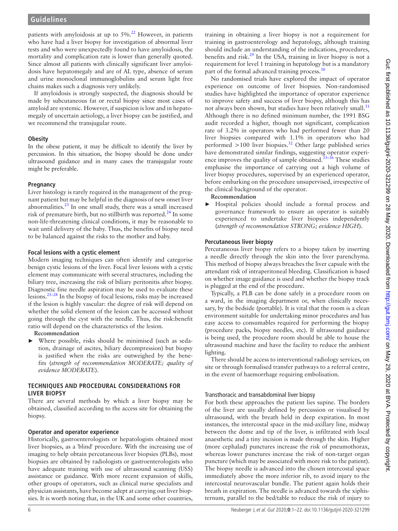# **Guidelines**

patients with amyloidosis at up to  $5\%$ .<sup>22</sup> However, in patients who have had a liver biopsy for investigation of abnormal liver tests and who were unexpectedly found to have amyloidosis, the mortality and complication rate is lower than generally quoted. Since almost all patients with clinically significant liver amyloidosis have hepatomegaly and are of AL type, absence of serum and urine monoclonal immunoglobulins and serum light free chains makes such a diagnosis very unlikely.

If amyloidosis is strongly suspected, the diagnosis should be made by subcutaneous fat or rectal biopsy since most cases of amyloid are systemic. However, if suspicion is low and in hepatomegaly of uncertain aetiology, a liver biopsy can be justified, and we recommend the transjugular route.

#### **Obesity**

In the obese patient, it may be difficult to identify the liver by percussion. In this situation, the biopsy should be done under ultrasound guidance and in many cases the transjugular route might be preferable.

#### **Pregnancy**

Liver histology is rarely required in the management of the pregnant patient but may be helpful in the diagnosis of new onset liver abnormalities. $^{23}$  $^{23}$  $^{23}$  In one small study, there was a small increased risk of premature birth, but no stillbirth was reported. $^{24}$  In some non-life-threatening clinical conditions, it may be reasonable to wait until delivery of the baby. Thus, the benefits of biopsy need to be balanced against the risks to the mother and baby.

#### **Focal lesions with a cystic element**

Modern imaging techniques can often identify and categorise benign cystic lesions of the liver. Focal liver lesions with a cystic element may communicate with several structures, including the biliary tree, increasing the risk of biliary peritonitis after biopsy. Diagnostic fine needle aspiration may be used to evaluate these lesions[.25–28](#page-18-21) In the biopsy of focal lesions, risks may be increased if the lesion is highly vascular: the degree of risk will depend on whether the solid element of the lesion can be accessed without going through the cyst with the needle. Thus, the risk:benefit ratio will depend on the characteristics of the lesion.

**Recommendation**

Where possible, risks should be minimised (such as sedation, drainage of ascites, biliary decompression) but biopsy is justified when the risks are outweighed by the benefits (*strength of recommendation MODERATE; quality of evidence MODERATE*).

#### **Techniques and procedural considerations for liver biopsy**

There are several methods by which a liver biopsy may be obtained, classified according to the access site for obtaining the biopsy.

#### **Operator and operator experience**

Historically, gastroenterologists or hepatologists obtained most liver biopsies, as a 'blind' procedure. With the increasing use of imaging to help obtain percutaneous liver biopsies (PLBs), most biopsies are obtained by radiologists or gastroenterologists who have adequate training with use of ultrasound scanning (USS) assistance or guidance. With more recent expansion of skills, other groups of operators, such as clinical nurse specialists and physician assistants, have become adept at carrying out liver biopsies. It is worth noting that, in the UK and some other countries,

training in obtaining a liver biopsy is not a requirement for training in gastroenterology and hepatology, although training should include an understanding of the indications, procedures, benefits and risk.<sup>[29](#page-18-22)</sup> In the USA, training in liver biopsy is not a requirement for level 1 training in hepatology but is a mandatory part of the formal advanced training process. $3^{\circ}$ 

No randomised trials have explored the impact of operator experience on outcome of liver biopsies. Non-randomised studies have highlighted the importance of operator experience to improve safety and success of liver biopsy, although this has not always been shown, but studies have been relatively small.<sup>[31](#page-18-24)</sup> Although there is no defined minimum number, the 1991 BSG audit recorded a higher, though not significant, complication rate of 3.2% in operators who had performed fewer than 20 liver biopsies compared with 1.1% in operators who had performed  $>100$  liver biopsies.<sup>[32](#page-18-25)</sup> Other large published series have demonstrated similar findings, suggesting operator experience improves the quality of sample obtained.<sup>33-36</sup> These studies emphasise the importance of carrying out a high volume of liver biopsy procedures, supervised by an experienced operator, before embarking on the procedure unsupervised, irrespective of the clinical background of the operator.

#### **Recommendation**

Hospital policies should include a formal process and governance framework to ensure an operator is suitably experienced to undertake liver biopsies independently (*strength of recommendation STRONG; evidence HIGH*).

#### **Percutaneous liver biopsy**

Percutaneous liver biopsy refers to a biopsy taken by inserting a needle directly through the skin into the liver parenchyma. This method of biopsy always breaches the liver capsule with the attendant risk of intraperitoneal bleeding. Classification is based on whether image guidance is used and whether the biopsy track is plugged at the end of the procedure.

Typically, a PLB can be done safely in a procedure room on a ward, in the imaging department or, when clinically necessary, by the bedside (portable). It is vital that the room is a clean environment suitable for undertaking minor procedures and has easy access to consumables required for performing the biopsy (procedure packs, biopsy needles, etc). If ultrasound guidance is being used, the procedure room should be able to house the ultrasound machine and have the facility to reduce the ambient lighting.

There should be access to interventional radiology services, on site or through formalised transfer pathways to a referral centre, in the event of haemorrhage requiring embolisation.

#### Transthoracic and transabdominal liver biopsy

For both these approaches the patient lies supine. The borders of the liver are usually defined by percussion or visualised by ultrasound, with the breath held in deep expiration. In most instances, the intercostal space in the mid-axillary line, midway between the dome and tip of the liver, is infiltrated with local anaesthetic and a tiny incision is made through the skin. Higher (more cephalad) punctures increase the risk of pneumothorax, whereas lower punctures increase the risk of non-target organ puncture (which may be associated with more risk to the patient). The biopsy needle is advanced into the chosen intercostal space immediately above the more inferior rib, to avoid injury to the intercostal neurovascular bundle. The patient again holds their breath in expiration. The needle is advanced towards the xiphisternum, parallel to the bed/table to reduce the risk of injury to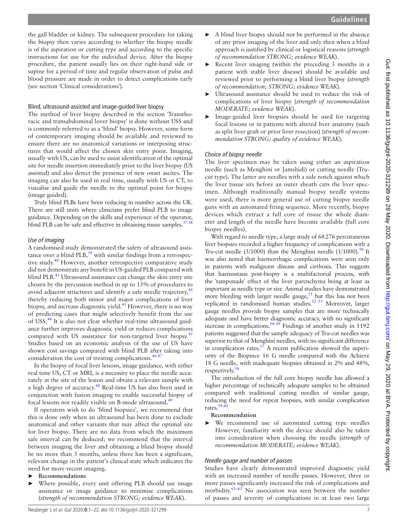the gall bladder or kidney. The subsequent procedure for taking the biopsy then varies according to whether the biopsy needle is of the aspiration or cutting type and according to the specific instructions for use for the individual device. After the biopsy procedure, the patient usually lies on their right-hand side or supine for a period of time and regular observation of pulse and blood pressure are made in order to detect complications early (see section 'Clinical considerations').

#### Blind, ultrasound-assisted and image-guided liver biopsy

The method of liver biopsy described in the section 'Transthoracic and transabdominal lover biopsy' is done without USS and is commonly referred to as a 'blind' biopsy. However, some form of contemporary imaging should be available and reviewed to ensure there are no anatomical variations or interposing structures that would affect the chosen skin entry point. Imaging, usually with US, can be used to assist identification of the optimal site for needle insertion immediately prior to the liver biopsy (US assisted) and also detect the presence of new onset ascites. The imaging can also be used in real time, usually with US or CT, to visualise and guide the needle to the optimal point for biopsy (image guided).

Truly blind PLBs have been reducing in number across the UK. There are still units where clinicians prefer blind PLB to image guidance. Depending on the skills and experience of the operator, blind PLB can be safe and effective in obtaining tissue samples. $3738$ 

#### *Use of imaging*

A randomised study demonstrated the safety of ultrasound assistance over a blind PLB, $39$  with similar findings from a retrospective study.<sup>40</sup> However, another retrospective comparative study did not demonstrate any benefit in US-guided PLB compared with blind PLB.<sup>41</sup> Ultrasound assistance can change the skin entry site chosen by the percussion method in up to 15% of procedures to avoid adjacent structures and identify a safe needle trajectory,  $42$ thereby reducing both minor and major complications of liver biopsy, and increase diagnostic yield.<sup>43</sup> However, there is no way of predicting cases that might selectively benefit from the use of USS.[44](#page-18-33) It is also not clear whether real-time ultrasound guidance further improves diagnostic yield or reduces complications compared with US assistance for non-targeted liver biopsy.<sup>[45](#page-18-34)</sup> Studies based on an economic analysis of the use of US have shown cost savings compared with blind PLB after taking into consideration the cost of treating complications.<sup>[46 47](#page-18-35)</sup>

In the biopsy of focal liver lesions, image guidance, with either real time US, CT or MRI, is a necessity to place the needle accurately at the site of the lesion and obtain a relevant sample with a high degree of accuracy.<sup>48</sup> Real-time US has also been used in conjunction with fusion imaging to enable successful biopsy of focal lesions not readily visible on B-mode ultrasound.<sup>[49](#page-18-37)</sup>

If operators wish to do 'blind biopsies', we recommend that this is done only when an ultrasound has been done to exclude anatomical and other variants that may affect the optimal site for liver biopsy. There are no data from which the maximum safe interval can be deduced; we recommend that the interval between imaging the liver and obtaining a blind biopsy should be no more than 3 months, unless there has been a significant, relevant change in the patient's clinical state which indicates the need for more recent imaging.

# ► **Recommendations**

Where possible, every unit offering PLB should use image assistance or image guidance to minimise complications (*strength of recommendation STRONG; evidence WEAK*).

- A blind liver biopsy should not be performed in the absence of any prior imaging of the liver and only then when a blind approach is justified by clinical or logistical reasons (*strength of recommendation STRONG; evidence WEAK*).
- Recent liver imaging (within the preceding 3 months in a patient with stable liver disease) should be available and reviewed prior to performing a blind liver biopsy (*strength of recommendation; STRONG; evidence WEAK*).
- Ultrasound assistance should be used to reduce the risk of complications of liver biopsy (*strength of recommendation MODERATE; evidence WEAK*).
- Image-guided liver biopsies should be used for targeting focal lesions or in patients with altered liver anatomy (such as split liver graft or prior liver resection) (*strength of recommendation STRONG; quality of evidence WEAK*).

# *Choice of biopsy needle*

The liver specimen may be taken using either an aspiration needle (such as Menghini or Jamshidi) or cutting needle (Trucut type). The latter are needles with a side notch against which the liver tissue sits before an outer sheath cuts the liver specimen. Although traditionally manual biopsy needle systems were used, there is more general use of cutting biopsy needle guns with an automated firing sequence. More recently, biopsy devices which extract a full core of tissue the whole diameter and length of the needle have become available (full core biopsy needles).

With regard to needle type, a large study of 68276 percutaneous liver biopsies recorded a higher frequency of complications with a Tru-cut needle  $(3/1000)$  than the Menghini needle  $(1/1000)$ .<sup>[50](#page-18-38)</sup> It was also noted that haemorrhagic complications were seen only in patients with malignant disease and cirrhosis. This suggests that haemostasis post-biopsy is a multifactorial process, with the 'tamponade' effect of the liver parenchyma being at least as important as needle type or size. Animal studies have demonstrated more bleeding with larger needle gauge, $51$  but this has not been replicated in randomised human studies.<sup>52 53</sup> Moreover, larger gauge needles provide biopsy samples that are more technically adequate and have better diagnostic accuracy, with no significant increase in complications.<sup>54–56</sup> Findings of another study in 1192 patients suggested that the sample adequacy of Tru-cut needles was superior to that of Menghini needles, with no significant difference in complication rates.<sup>57</sup> A recent publication showed the superiority of the Biopince 16 G needle compared with the Achieve 18 G needle, with inadequate biopsies obtained in 2% and 48%, respectively.<sup>[58](#page-18-43)</sup>

The introduction of the full core biopsy needle has allowed a higher percentage of technically adequate samples to be obtained compared with traditional cutting needles of similar gauge, reducing the need for repeat biopsies, with similar complication rates. $59$ 

#### **Recommendation**

We recommend use of automated cutting type needles However, familiarity with the device should also be taken into consideration when choosing the needle (*strength of recommendation MODERATE; evidence WEAK*).

# *Needle gauge and number of passes*

Studies have clearly demonstrated improved diagnostic yield with an increased number of needle passes. However, three or more passes significantly increased the risk of complications and morbidity. $61-63$  No association was seen between the number of passes and severity of complications in at least two large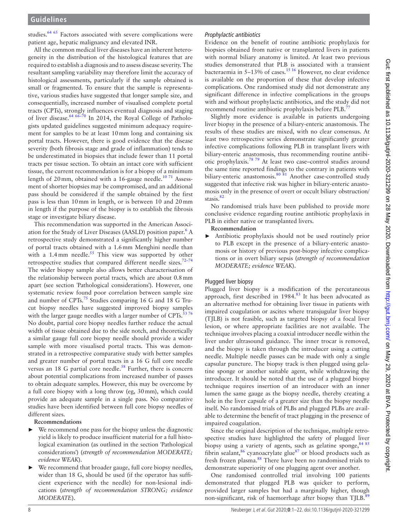studies.<sup>[64 65](#page-19-1)</sup> Factors associated with severe complications were patient age, hepatic malignancy and elevated INR.

All the common medical liver diseases have an inherent heterogeneity in the distribution of the histological features that are required to establish a diagnosis and to assess disease severity. The resultant sampling variability may therefore limit the accuracy of histological assessments, particularly if the sample obtained is small or fragmented. To ensure that the sample is representative, various studies have suggested that longer sample size, and consequentially, increased number of visualised complete portal tracts (CPTs), strongly influences eventual diagnosis and staging of liver disease.<sup>64 66–70</sup> In 2014, the Royal College of Pathologists updated guidelines suggested minimum adequacy requirement for samples to be at least 10mm long and containing six portal tracts. However, there is good evidence that the disease severity (both fibrosis stage and grade of inflammation) tends to be underestimated in biopsies that include fewer than 11 portal tracts per tissue section. To obtain an intact core with sufficient tissue, the current recommendation is for a biopsy of a minimum length of 20 mm, obtained with a 16-gauge needle.<sup>10 71</sup> Assessment of shorter biopsies may be compromised, and an additional pass should be considered if the sample obtained by the first pass is less than 10mm in length, or is between 10 and 20mm in length if the purpose of the biopsy is to establish the fibrosis stage or investigate biliary disease.

This recommendation was supported in the American Association for the Study of Liver Diseases (AASLD) position paper.<sup>6</sup> A retrospective study demonstrated a significantly higher number of portal tracts obtained with a 1.6mm Menghini needle than with a 1.4mm needle.<sup>55</sup> This view was supported by other retrospective studies that compared different needle sizes.[72–74](#page-19-2) The wider biopsy sample also allows better characterisation of the relationship between portal tracts, which are about 0.8mm apart (see section 'Pathological considerations'). However, one systematic review found poor correlation between sample size and number of CPTs.<sup>75</sup> Studies comparing 16 G and 18 G Trucut biopsy needles have suggested improved biopsy samples with the larger gauge needles with a larger number of CPTs. $3376$ No doubt, partial core biopsy needles further reduce the actual width of tissue obtained due to the side notch, and theoretically a similar gauge full core biopsy needle should provide a wider sample with more visualised portal tracts. This was demonstrated in a retrospective comparative study with better samples and greater number of portal tracts in a 16 G full core needle versus an 18 G partial core needle.<sup>58</sup> Further, there is concern about potential complications from increased number of passes to obtain adequate samples. However, this may be overcome by a full core biopsy with a long throw (eg, 30mm), which could provide an adequate sample in a single pass. No comparative studies have been identified between full core biopsy needles of different sizes.

**Recommendations**

- We recommend one pass for the biopsy unless the diagnostic yield is likely to produce insufficient material for a full histological examination (as outlined in the section 'Pathological considerations') (*strength of recommendation MODERATE; evidence WEAK*).
- We recommend that broader gauge, full core biopsy needles, wider than 18 G, should be used (if the operator has sufficient experience with the needle) for non-lesional indications (*strength of recommendation STRONG; evidence MODERATE*).

# *Prophylactic antibiotics*

Evidence on the benefit of routine antibiotic prophylaxis for biopsies obtained from native or transplanted livers in patients with normal biliary anatomy is limited. At least two previous studies demonstrated that PLB is associated with a transient bacteraemia in 5–13% of cases.<sup>[15 16](#page-18-13)</sup> However, no clear evidence is available on the proportion of these that develop infective complications. One randomised study did not demonstrate any significant difference in infective complications in the groups with and without prophylactic antibiotics, and the study did not recommend routine antibiotic prophylaxis before PLB.<sup>[77](#page-19-4)</sup>

Slightly more evidence is available in patients undergoing liver biopsy in the presence of a biliary-enteric anastomosis. The results of these studies are mixed, with no clear consensus. At least two retrospective series demonstrate significantly greater infective complications following PLB in transplant livers with biliary-enteric anastomosis, thus recommending routine antibiotic prophylaxis.[78 79](#page-19-5) At least two case–control studies around the same time reported findings to the contrary in patients with biliary-enteric anastomosis. $80 \overline{81}$  Another case-controlled study suggested that infective risk was higher in biliary-enteric anastomosis only in the presence of overt or occult biliary obstruction/ stasis.<sup>[82](#page-19-7)</sup>

No randomised trials have been published to provide more conclusive evidence regarding routine antibiotic prophylaxis in PLB in either native or transplanted livers.

# **Recommendation**

Antibiotic prophylaxis should not be used routinely prior to PLB except in the presence of a biliary-enteric anastomosis or history of previous post-biopsy infective complications or in overt biliary sepsis (*strength of recommendation MODERATE; evidence WEAK*).

#### Plugged liver biopsy

Plugged liver biopsy is a modification of the percutaneous approach, first described in 1984.<sup>83</sup> It has been advocated as an alternative method for obtaining liver tissue in patients with impaired coagulation or ascites where transjugular liver biopsy (TJLB) is not feasible, such as targeted biopsy of a focal liver lesion, or where appropriate facilities are not available. The technique involves placing a coaxial introducer needle within the liver under ultrasound guidance. The inner trocar is removed, and the biopsy is taken through the introducer using a cutting needle. Multiple needle passes can be made with only a single capsular puncture. The biopsy track is then plugged using gelatine sponge or another suitable agent, while withdrawing the introducer. It should be noted that the use of a plugged biopsy technique requires insertion of an introducer with an inner lumen the same gauge as the biopsy needle, thereby creating a hole in the liver capsule of a greater size than the biopsy needle itself. No randomised trials of PLBs and plugged PLBs are available to determine the benefit of tract plugging in the presence of impaired coagulation.

Since the original description of the technique, multiple retrospective studies have highlighted the safety of plugged liver biopsy using a variety of agents, such as gelatine sponge, [84 85](#page-19-9) fibrin sealant,<sup>86</sup> cyanoacrylate glue<sup>[87](#page-19-11)</sup> or blood products such as fresh frozen plasma.<sup>88</sup> There have been no randomised trials to demonstrate superiority of one plugging agent over another.

One randomised controlled trial involving 100 patients demonstrated that plugged PLB was quicker to perform, provided larger samples but had a marginally higher, though non-significant, risk of haemorrhage after biopsy than TJLB.<sup>[89](#page-19-13)</sup>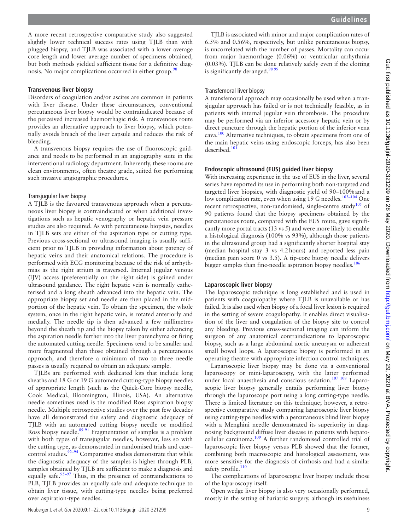A more recent retrospective comparative study also suggested slightly lower technical success rates using TJLB than with plugged biopsy, and TJLB was associated with a lower average core length and lower average number of specimens obtained, but both methods yielded sufficient tissue for a definitive diag-nosis. No major complications occurred in either group.<sup>[90](#page-19-14)</sup>

#### **Transvenous liver biopsy**

Disorders of coagulation and/or ascites are common in patients with liver disease. Under these circumstances, conventional percutaneous liver biopsy would be contraindicated because of the perceived increased haemorrhagic risk. A transvenous route provides an alternative approach to liver biopsy, which potentially avoids breach of the liver capsule and reduces the risk of bleeding.

A transvenous biopsy requires the use of fluoroscopic guidance and needs to be performed in an angiography suite in the interventional radiology department. Inherently, these rooms are clean environments, often theatre grade, suited for performing such invasive angiographic procedures.

#### Transjugular liver biopsy

A TJLB is the favoured transvenous approach when a percutaneous liver biopsy is contraindicated or when additional investigations such as hepatic venography or hepatic vein pressure studies are also required. As with percutaneous biopsies, needles in TJLB sets are either of the aspiration type or cutting type. Previous cross-sectional or ultrasound imaging is usually sufficient prior to TJLB in providing information about patency of hepatic veins and their anatomical relations. The procedure is performed with ECG monitoring because of the risk of arrhythmias as the right atrium is traversed. Internal jugular venous (IJV) access (preferentially on the right side) is gained under ultrasound guidance. The right hepatic vein is normally catheterised and a long sheath advanced into the hepatic vein. The appropriate biopsy set and needle are then placed in the midportion of the hepatic vein. To obtain the specimen, the whole system, once in the right hepatic vein, is rotated anteriorly and medially. The needle tip is then advanced a few millimetres beyond the sheath tip and the biopsy taken by either advancing the aspiration needle further into the liver parenchyma or firing the automated cutting needle. Specimens tend to be smaller and more fragmented than those obtained through a percutaneous approach, and therefore a minimum of two to three needle passes is usually required to obtain an adequate sample.

TJLBs are performed with dedicated kits that include long sheaths and 18 G or 19 G automated cutting-type biopsy needles of appropriate length (such as the Quick-Core biopsy needle, Cook Medical, Bloomington, Illinois, USA). An alternative needle sometimes used is the modified Ross aspiration biopsy needle. Multiple retrospective studies over the past few decades have all demonstrated the safety and diagnostic adequacy of TJLB with an automated cutting biopsy needle or modified Ross biopsy needle.<sup>89 91</sup> Fragmentation of samples is a problem with both types of transjugular needles, however, less so with the cutting type, as demonstrated in randomised trials and case– control studies. $92-94$  Comparative studies demonstrate that while the diagnostic adequacy of the samples is higher through PLB, samples obtained by TJLB are sufficient to make a diagnosis and equally safe. $95-97$  Thus, in the presence of contraindications to PLB, TJLB provides an equally safe and adequate technique to obtain liver tissue, with cutting-type needles being preferred over aspiration-type needles.

TJLB is associated with minor and major complication rates of 6.5% and 0.56%, respectively, but unlike percutaneous biopsy, is uncorrelated with the number of passes. Mortality can occur from major haemorrhage (0.06%) or ventricular arrhythmia (0.03%). TJLB can be done relatively safely even if the clotting is significantly deranged.<sup>[98 99](#page-19-17)</sup>

# Transfemoral liver biopsy

A transfemoral approach may occasionally be used when a transjugular approach has failed or is not technically feasible, as in patients with internal jugular vein thrombosis. The procedure may be performed via an inferior accessory hepatic vein or by direct puncture through the hepatic portion of the inferior vena cava.<sup>100</sup> Alternative techniques, to obtain specimens from one of the main hepatic veins using endoscopic forceps, has also been described.<sup>[101](#page-19-19)</sup>

# **Endoscopic ultrasound (EUS) guided liver biopsy**

With increasing experience in the use of EUS in the liver, several series have reported its use in performing both non-targeted and targeted liver biopsies, with diagnostic yield of 90–100%and a low complication rate, even when using 19 G needles.<sup>102-104</sup> One recent retrospective, non-randomised, single-centre study<sup>105</sup> of 90 patients found that the biopsy specimens obtained by the percutaneous route, compared with the EUS route, gave significantly more portal tracts (13 vs 5) and were more likely to enable a histological diagnosis (100% vs 93%), although those patients in the ultrasound group had a significantly shorter hospital stay (median hospital stay 3 vs 4.2hours) and reported less pain (median pain score 0 vs 3.5). A tip-core biopsy needle delivers bigger samples than fine-needle aspiration biopsy needles.<sup>106</sup>

# **Laparoscopic liver biopsy**

The laparoscopic technique is long established and is used in patients with coagulopathy where TJLB is unavailable or has failed. It is also used when biopsy of a focal liver lesion is required in the setting of severe coagulopathy. It enables direct visualisation of the liver and coagulation of the biopsy site to control any bleeding. Previous cross-sectional imaging can inform the surgeon of any anatomical contraindications to laparoscopic biopsy, such as a large abdominal aortic aneurysm or adherent small bowel loops. A laparoscopic biopsy is performed in an operating theatre with appropriate infection control techniques.

Laparoscopic liver biopsy may be done via a conventional laparoscopy or mini-laparoscopy, with the latter performed under local anaesthesia and conscious sedation.<sup>107 108</sup> Laparoscopic liver biopsy generally entails performing liver biopsy through the laparoscope port using a long cutting-type needle. There is limited literature on this technique; however, a retrospective comparative study comparing laparoscopic liver biopsy using cutting-type needles with a percutaneous blind liver biopsy with a Menghini needle demonstrated its superiority in diagnosing background diffuse liver disease in patients with hepatocellular carcinoma.[109](#page-19-24) A further randomised controlled trial of laparoscopic liver biopsy versus PLB showed that the former, combining both macroscopic and histological assessment, was more sensitive for the diagnosis of cirrhosis and had a similar safety profile. $\frac{110}{110}$ 

The complications of laparoscopic liver biopsy include those of the laparoscopy itself.

Open wedge liver biopsy is also very occasionally performed, mostly in the setting of bariatric surgery, although its usefulness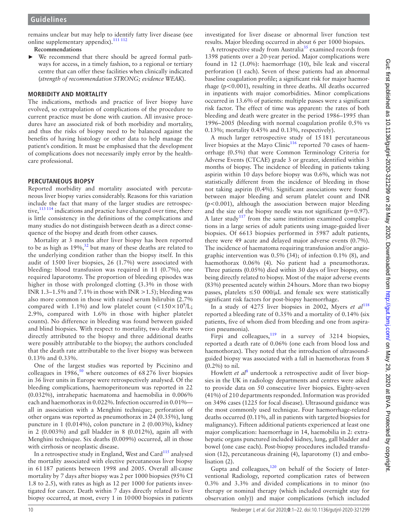remains unclear but may help to identify fatty liver disease (see [online supplementary appendix\)](https://dx.doi.org/10.1136/gutjnl-2020-321299).<sup>[111 112](#page-19-26)</sup>

- **Recommendations**
- ► We recommend that there should be agreed formal pathways for access, in a timely fashion, to a regional or tertiary centre that can offer these facilities when clinically indicated (*strength of recommendation STRONG; evidence WEAK*).

### **MORBIDITY AND MORTALITY**

The indications, methods and practice of liver biopsy have evolved, so extrapolation of complications of the procedure to current practice must be done with caution. All invasive procedures have an associated risk of both morbidity and mortality, and thus the risks of biopsy need to be balanced against the benefits of having histology or other data to help manage the patient's condition. It must be emphasised that the development of complications does not necessarily imply error by the healthcare professional.

# **Percutaneous biopsy**

Reported morbidity and mortality associated with percutaneous liver biopsy varies considerably. Reasons for this variation include the fact that many of the larger studies are retrospective, $1^{13}$  114 indications and practice have changed over time, there is little consistency in the definitions of the complications and many studies do not distinguish between death as a direct consequence of the biopsy and death from other causes.

Mortality at 3 months after liver biopsy has been reported to be as high as  $19\%,^{32}$  but many of these deaths are related to the underlying condition rather than the biopsy itself. In this audit of 1500 liver biopsies, 26 (1.7%) were associated with bleeding: blood transfusion was required in 11 (0.7%), one required laparotomy. The proportion of bleeding episodes was higher in those with prolonged clotting (3.3% in those with INR 1.3–1.5% and 7.1% in those with INR  $>$ 1.5); bleeding was also more common in those with raised serum bilirubin (2.7% compared with 1.1%) and low platelet count  $\left($  < 150 $\times$ 10 $^{9}/$ L; 2.9%, compared with 1.6% in those with higher platelet counts). No difference in bleeding was found between guided and blind biopsies. With respect to mortality, two deaths were directly attributed to the biopsy and three additional deaths were possibly attributable to the biopsy; the authors concluded that the death rate attributable to the liver biopsy was between 0.13% and 0.33%.

One of the largest studies was reported by Piccinino and colleagues in  $1986$ ,<sup>[50](#page-18-38)</sup> where outcomes of 68276 liver biopsies in 36 liver units in Europe were retrospectively analysed. Of the bleeding complications, haemoperitoneum was reported in 22 (0.032%), intrahepatic haematoma and haemobilia in 0.006% each and haemothorax in 0.022%. Infection occurred in 0.01% all in association with a Menghini technique; perforation of other organs was reported as pneumothorax in 24 (0.35%), lung puncture in 1 (0.014%), colon puncture in 2 (0.003%), kidney in 2 (0.003%) and gall bladder in 8 (0.012%), again all with Menghini technique. Six deaths (0.009%) occurred, all in those with cirrhosis or neoplastic disease.

In a retrospective study in England, West and Card<sup>115</sup> analysed the mortality associated with elective percutaneous liver biopsy in 61187 patients between 1998 and 2005. Overall all-cause mortality by 7 days after biopsy was 2 per 1000 biopsies (95% CI 1.8 to 2.5), with rates as high as 12 per 1000 for patients investigated for cancer. Death within 7 days directly related to liver biopsy occurred, at most, every 1 in 10000 biopsies in patients

investigated for liver disease or abnormal liver function test results. Major bleeding occurred in about 6 per 1000 biopsies.

A retrospective study from Australia<sup>[35](#page-18-47)</sup> examined records from 1398 patients over a 20-year period. Major complications were found in 12 (1.0%): haemorrhage (10), bile leak and visceral perforation (1 each). Seven of these patients had an abnormal baseline coagulation profile; a significant risk for major haemorrhage (p<0.001), resulting in three deaths. All deaths occurred in inpatients with major comorbidities. Minor complications occurred in 13.6% of patients: multiple passes were a significant risk factor. The effect of time was apparent: the rates of both bleeding and death were greater in the period 1986–1995 than 1996–2005 (bleeding with normal coagulation profile 0.5% vs 0.13%; mortality 0.45% and 0.13%, respectively).

A much larger retrospective study of 15181 percutaneous liver biopsies at the Mayo Clinic<sup>116</sup> reported 70 cases of haemorrhage (0.5%) that were Common Terminology Criteria for Adverse Events (CTCAE) grade 3 or greater, identified within 3 months of biopsy. The incidence of bleeding in patients taking aspirin within 10 days before biopsy was 0.6%, which was not statistically different from the incidence of bleeding in those not taking aspirin (0.4%). Significant associations were found between major bleeding and serum platelet count and INR  $(p<0.001)$ , although the association between major bleeding and the size of the biopsy needle was not significant ( $p=0.97$ ). A later study<sup>117</sup> from the same institution examined complications in a large series of adult patients using image-guided liver biopsies. Of 6613 biopsies performed in 5987 adult patients, there were 49 acute and delayed major adverse events (0.7%). The incidence of haematoma requiring transfusion and/or angiographic intervention was 0.5% (34); of infection 0.1% (8), and haemothorax 0.06% (4). No patient had a pneumothorax. Three patients (0.05%) died within 30 days of liver biopsy, one being directly related to biopsy. Most of the major adverse events (83%) presented acutely within 24hours. More than two biopsy passes, platelets  $\leq 50000/\mu L$  and female sex were statistically significant risk factors for post-biopsy haemorrhage.

In a study of 4275 liver biopsies in 2002, Myers *et al*<sup>[118](#page-20-1)</sup> reported a bleeding rate of 0.35% and a mortality of 0.14% (six patients, five of whom died from bleeding and one from aspiration pneumonia).

Firpi and colleagues,  $119$  in a survey of 3214 biopsies, reported a death rate of 0.06% (one each from blood loss and haemothorax). They noted that the introduction of ultrasoundguided biopsy was associated with a fall in haemothorax from 8 (0.2%) to nil.

Howlett et al<sup>[8](#page-18-6)</sup> undertook a retrospective audit of liver biopsies in the UK in radiology departments and centres were asked to provide data on 50 consecutive liver biopsies. Eighty-seven (41%) of 210 departments responded. Information was provided on 3496 cases (1225 for focal disease). Ultrasound guidance was the most commonly used technique. Four haemorrhage-related deaths occurred (0.11%, all in patients with targeted biopsies for malignancy). Fifteen additional patients experienced at least one major complication: haemorrhage in 14, haemobilia in 2: extrahepatic organs punctured included kidney, lung, gall bladder and bowel (one case each). Post-biopsy procedures included transfusion (12), percutaneous draining (4), laparotomy (1) and embolisation (2).

Gupta and colleagues, $120$  on behalf of the Society of Interventional Radiology, reported complication rates of between 0.3% and 3.3% and divided complications in to minor (no therapy or nominal therapy (which included overnight stay for observation only)) and major complications (which included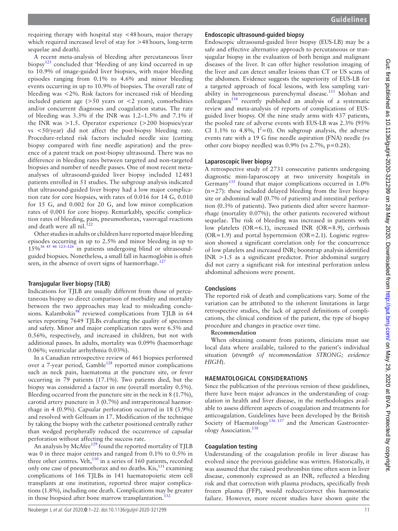requiring therapy with hospital stay <48hours, major therapy which required increased level of stay for >48 hours, long-term sequelae and death).

A recent meta-analysis of bleeding after percutaneous liver biopsy<sup>[121](#page-20-4)</sup> concluded that 'bleeding of any kind occurred in up to 10.9% of image-guided liver biopsies, with major bleeding episodes ranging from 0.1% to 4.6% and minor bleeding events occurring in up to 10.9% of biopsies. The overall rate of bleeding was <2%. Risk factors for increased risk of bleeding included patient age  $(>50$  years or  $<$ 2 years), comorbidities and/or concurrent diagnoses and coagulation status. The rate of bleeding was 3.3% if the INR was 1.2–1.5% and 7.1% if the INR was  $>1.5$ . Operator experience ( $>200$  biopsies/year vs <50/year) did not affect the post-biopsy bleeding rate. Procedure-related risk factors included needle size (cutting biopsy compared with fine needle aspiration) and the presence of a patent track on post-biopsy ultrasound. There was no difference in bleeding rates between targeted and non-targeted biopsies and number of needle passes. One of most recent metaanalyses of ultrasound-guided liver biopsy included 12481 patients enrolled in 51 studies. The subgroup analysis indicated that ultrasound-guided liver biopsy had a low major complication rate for core biopsies, with rates of 0.016 for 14 G, 0.010 for 15 G, and 0.002 for 20 G, and low minor complication rates of 0.001 for core biopsy. Remarkably, specific complication rates of bleeding, pain, pneumothorax, vasovagal reactions and death were all nil.

Other studies in adults or children have reported major bleeding episodes occurring in up to 2.5% and minor bleeding in up to  $15\%$ <sup>36 45 46 123-126</sup> in patients undergoing blind or ultrasoundguided biopsies. Nonetheless, a small fall in haemoglobin is often seen, in the absence of overt signs of haemorrhage. $127$ 

#### **Transjugular liver biopsy (TJLB)**

Indications for TJLB are usually different from those of percutaneous biopsy so direct comparison of morbidity and mortality between the two approaches may lead to misleading conclu-sions. Kalambokis<sup>[98](#page-19-17)</sup> reviewed complications from TJLB in 64 series reporting 7649 TJLBs evaluating the quality of specimen and safety. Minor and major complication rates were 6.5% and 0.56%, respectively, and increased in children, but not with additional passes. In adults, mortality was 0.09% (haemorrhage 0.06%; ventricular arrhythmia 0.03%).

In a Canadian retrospective review of 461 biopsies performed over a 7-year period, Gamble<sup>[128](#page-20-7)</sup> reported minor complications such as neck pain, haematoma at the puncture site, or fever occurring in 79 patients (17.1%). Two patients died, but the biopsy was considered a factor in one (overall mortality 0.5%). Bleeding occurred from the puncture site in the neck in 8 (1.7%), carotid artery puncture in 3 (0.7%) and intraperitoneal haemorrhage in 4 (0.9%). Capsular perforation occurred in 18 (3.9%) and resolved with Gelfoam in 17. Modification of the technique by taking the biopsy with the catheter positioned centrally rather than wedged peripherally reduced the occurrence of capsular perforation without affecting the success rate.

An analysis by McAfee<sup>129</sup> found the reported mortality of TJLB was 0 in three major centres and ranged from 0.1% to 0.5% in three other centres. Velt, $^{130}$  in a series of 160 patients, recorded only one case of pneumothorax and no deaths. Kis, $^{131}$  $^{131}$  $^{131}$  examining complications of 166 TJLBs in 141 haematopoietic stem cell transplants at one institution, reported three major complications (1.8%), including one death. Complications may be greater in those biopsied after bone marrow transplantation.<sup>132</sup>

# **Endoscopic ultrasound-guided biopsy**

Endoscopic ultrasound-guided liver biopsy (EUS-LB) may be a safe and effective alternative approach to percutaneous or transjugular biopsy in the evaluation of both benign and malignant diseases of the liver. It can offer higher resolution imaging of the liver and can detect smaller lesions than CT or US scans of the abdomen. Evidence suggests the superiority of EUS-LB for a targeted approach of focal lesions, with less sampling vari-ability in heterogeneous parenchymal disease.<sup>[133](#page-20-12)</sup> Mohan and  $\text{collegues}^{134}$  recently published an analysis of a systematic review and meta-analysis of reports of complications of EUSguided liver biopsy. Of the nine study arms with 437 patients, the pooled rate of adverse events with EUS-LB was 2.3% (95% CI 1.1% to 4.8%,  $I^2=0$ ). On subgroup analysis, the adverse events rate with a 19 G fine needle aspiration (FNA) needle (vs other core biopsy needles) was  $0.9\%$  (vs  $2.7\%$ , p=0.28).

#### **Laparoscopic liver biopsy**

A retrospective study of 2731 consecutive patients undergoing diagnostic mini-laparoscopy at two university hospitals in Germany<sup>[135](#page-20-14)</sup> found that major complications occurred in 1.0%  $(n=27)$ : these included delayed bleeding from the liver biopsy site or abdominal wall (0.7% of patients) and intestinal perforation (0.3% of patients). Two patients died after severe haemorrhage (mortality 0.07%); the other patients recovered without sequelae. The risk of bleeding was increased in patients with low platelets (OR=6.1), increased INR (OR=8.9), cirrhosis  $(OR=1.9)$  and portal hypertension  $(OR=2.1)$ . Logistic regression showed a significant correlation only for the concurrence of low platelets and increased INR; bootstrap analysis identified INR >1.5 as a significant predictor. Prior abdominal surgery did not carry a significant risk for intestinal perforation unless abdominal adhesions were present.

#### **Conclusions**

The reported risk of death and complications vary. Some of the variation can be attributed to the inherent limitations in large retrospective studies, the lack of agreed definitions of complications, the clinical condition of the patient, the type of biopsy procedure and changes in practice over time.

#### **Recommendation**

When obtaining consent from patients, clinicians must use local data where available, tailored to the patient's individual situation (*strength of recommendation STRONG; evidence HIGH*).

#### **Haematological considerations**

Since the publication of the previous version of these guidelines, there have been major advances in the understanding of coagulation in health and liver disease, in the methodologies available to assess different aspects of coagulation and treatments for anticoagulation. Guidelines have been developed by the British Society of Haematology<sup>136</sup> 137 and the American Gastroenterology Association.[138](#page-20-16)

#### **Coagulation testing**

Understanding of the coagulation profile in liver disease has evolved since the previous guideline was written. Historically, it was assumed that the raised prothrombin time often seen in liver disease, commonly expressed as an INR, reflected a bleeding risk and that correction with plasma products, specifically fresh frozen plasma (FFP), would reduce/correct this haemostatic failure. However, more recent studies have shown quite the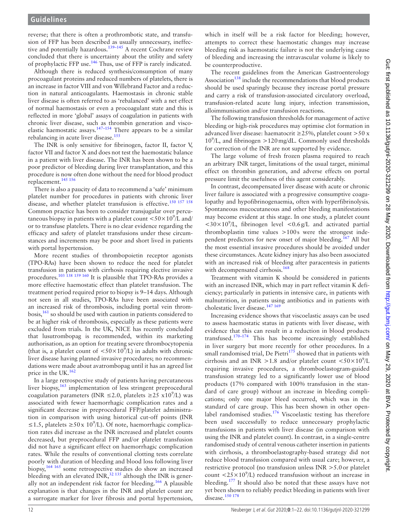reverse; that there is often a prothrombotic state, and transfusion of FFP has been described as usually unnecessary, ineffective and potentially hazardous.<sup>139–145</sup> A recent Cochrane review concluded that there is uncertainty about the utility and safety of prophylactic FFP use.[146](#page-20-18) Thus, use of FFP is rarely indicated.

Although there is reduced synthesis/consumption of many procoagulant proteins and reduced numbers of platelets, there is an increase in factor VIII and von Willebrand Factor and a reduction in natural anticoagulants. Haemostasis in chronic stable liver disease is often referred to as 'rebalanced' with a net effect of normal haemostasis or even a procoagulant state and this is reflected in more 'global' assays of coagulation in patients with chronic liver disease, such as thrombin generation and viscoelastic haemostatic assays.<sup>147–154</sup> There appears to be a similar rebalancing in acute liver disease.<sup>155</sup>

The INR is only sensitive for fibrinogen, factor II, factor V, factor VII and factor X and does not test the haemostatic balance in a patient with liver disease. The INR has been shown to be a poor predictor of bleeding during liver transplantation, and this procedure is now often done without the need for blood product replacement.[145 156](#page-20-21)

There is also a paucity of data to recommend a 'safe' minimum platelet number for procedures in patients with chronic liver disease, and whether platelet transfusion is effective.<sup>150 157 158</sup> Common practice has been to consider transjugular over percutaneous biopsy in patients with a platelet count  $<\!\!50\times10^9/\!\rm{L}$  and/ or to transfuse platelets. There is no clear evidence regarding the efficacy and safety of platelet transfusions under these circumstances and increments may be poor and short lived in patients with portal hypertension.

More recent studies of thrombopoietin receptor agonists (TPO-RAs) have been shown to reduce the need for platelet transfusion in patients with cirrhosis requiring elective invasive procedures.[103 138 159 160](#page-19-30) It is plausible that TPO-RAs provides a more effective haemostatic effect than platelet transfusion. The treatment period required prior to biopsy is 9–14 days. Although not seen in all studies, TPO-RAs have been associated with an increased risk of thrombosis, including portal vein thrombosis,<sup>161</sup> so should be used with caution in patients considered to be at higher risk of thrombosis, especially as these patients were excluded from trials. In the UK, NICE has recently concluded that lusutrombopag is recommended, within its marketing authorisation, as an option for treating severe thrombocytopenia (that is, a platelet count of  $\langle 50 \times 10^9 \rangle$  in adults with chronic liver disease having planned invasive procedures; no recommendations were made about avatrombopag until it has an agreed list price in the UK.<sup>[162](#page-20-24)</sup>

In a large retrospective study of patients having percutaneous liver biopsy, $163$  implementation of less stringent preprocedural coagulation parameters (INR  $\leq$ 2.0, platelets  $\geq$ 25 x10<sup>9</sup>/L) was associated with fewer haemorrhagic complication rates and a significant decrease in preprocedural FFP/platelet administration in comparison with using historical cut-off points (INR ≤1.5, platelets ≥50 x 10<sup>9</sup>/L). Of note, haemorrhagic complication rates did increase as the INR increased and platelet counts decreased, but preprocedural FFP and/or platelet transfusion did not have a significant effect on haemorrhagic complication rates. While the results of conventional clotting tests correlate poorly with duration of bleeding and blood loss following liver biopsy,[164 165](#page-20-26) some retrospective studies do show an increased bleeding with an elevated INR,<sup>32 135</sup> although the INR is gener-ally not an independent risk factor for bleeding.<sup>[166](#page-20-27)</sup> A plausible explanation is that changes in the INR and platelet count are a surrogate marker for liver fibrosis and portal hypertension,

which in itself will be a risk factor for bleeding; however, attempts to correct these haemostatic changes may increase bleeding risk as haemostatic failure is not the underlying cause of bleeding and increasing the intravascular volume is likely to be counterproductive.

The recent guidelines from the American Gastroenterology Association<sup>[138](#page-20-16)</sup> include the recommendations that blood products should be used sparingly because they increase portal pressure and carry a risk of transfusion-associated circulatory overload, transfusion-related acute lung injury, infection transmission, alloimmunisation and/or transfusion reactions.

The following transfusion thresholds for management of active bleeding or high-risk procedures may optimise clot formation in advanced liver disease: haematocrit ≥25%, platelet count >50 x  $10<sup>9</sup>/L$ , and fibrinogen > 120 mg/dL. Commonly used thresholds for correction of the INR are not supported by evidence.

The large volume of fresh frozen plasma required to reach an arbitrary INR target, limitations of the usual target, minimal effect on thrombin generation, and adverse effects on portal pressure limit the usefulness of this agent considerably.

In contrast, decompensated liver disease with acute or chronic liver failure is associated with a progressive consumptive coagulopathy and hypofibrinogenaemia, often with hyperfibrinolysis. Spontaneous mucocutaneous and other bleeding manifestations may become evident at this stage. In one study, a platelet count  $<$ 30×10<sup>9</sup>/L, fibrinogen level <0.6g/L and activated partial thromboplastin time values >100s were the strongest inde-pendent predictors for new onset of major bleeding.<sup>[167](#page-20-28)</sup> All but the most essential invasive procedures should be avoided under these circumstances. Acute kidney injury has also been associated with an increased risk of bleeding after paracentesis in patients with decompensated cirrhosis.<sup>[168](#page-20-29)</sup>

Treatment with vitamin K should be considered in patients with an increased INR, which may in part reflect vitamin K deficiency; particularly in patients in intensive care, in patients with malnutrition, in patients using antibiotics and in patients with cholestatic liver disease.<sup>[147 169](#page-20-19)</sup>

Increasing evidence shows that viscoelastic assays can be used to assess haemostatic status in patients with liver disease, with evidence that this can result in a reduction in blood products transfused.<sup>[170–174](#page-20-30)</sup> This has become increasingly established in liver surgery but more recently for other procedures. In a small randomised trial, De Pietri $175$  showed that in patients with cirrhosis and an INR > 1.8 and/or platelet count  $\langle 50 \times 10^9 \rangle L$ requiring invasive procedures, a thromboelastogram-guided transfusion strategy led to a significantly lower use of blood products (17% compared with 100% transfusion in the standard of care group) without an increase in bleeding complications; only one major bleed occurred, which was in the standard of care group. This has been shown in other openlabel randomised studies.<sup>176</sup> Viscoelastic testing has therefore been used successfully to reduce unnecessary prophylactic transfusions in patients with liver disease (in comparison with using the INR and platelet count). In contrast, in a single-centre randomised study of central venous catheter insertion in patients with cirrhosis, a thromboelastography-based strategy did not reduce blood transfusion compared with usual care; however, a restrictive protocol (no transfusion unless INR >5.0or platelet count  $\langle 25 \times 10^9 \rangle$  reduced transfusion without an increase in bleeding.[177](#page-21-0) It should also be noted that these assays have not yet been shown to reliably predict bleeding in patients with liver disease.[150 178](#page-20-22)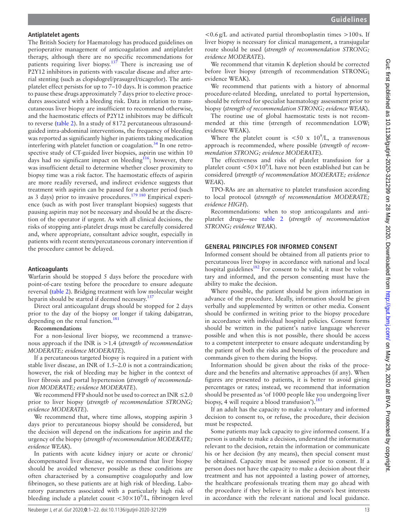#### **Antiplatelet agents**

The British Society for Haematology has produced guidelines on perioperative management of anticoagulation and antiplatelet therapy, although there are no specific recommendations for patients requiring liver biopsy.<sup>137</sup> There is increasing use of P2Y12 inhibitors in patients with vascular disease and after arterial stenting (such as clopidogrel/prasugrel/ticagrelor). The antiplatelet effect persists for up to 7–10 days. It is common practice to pause these drugs approximately 7 days prior to elective procedures associated with a bleeding risk. Data in relation to transcutaneous liver biopsy are insufficient to recommend otherwise, and the haemostatic effects of P2Y12 inhibitors may be difficult to reverse ([table](#page-4-0) 2). In a study of 8172 percutaneous ultrasoundguided intra-abdominal interventions, the frequency of bleeding was reported as significantly higher in patients taking medication interfering with platelet function or coagulation. $34$  In one retrospective study of CT-guided liver biopsies, aspirin use within 10 days had no significant impact on bleeding<sup> $116$ </sup>; however, there was insufficient detail to determine whether closer proximity to biopsy time was a risk factor. The haemostatic effects of aspirin are more readily reversed, and indirect evidence suggests that treatment with aspirin can be paused for a shorter period (such as 3 days) prior to invasive procedures[.179 180](#page-21-1) Empirical experience (such as with post liver transplant biopsies) suggests that pausing aspirin may not be necessary and should be at the discretion of the operator if urgent. As with all clinical decisions, the risks of stopping anti-platelet drugs must be carefully considered and, where appropriate, consultant advice sought, especially in patients with recent stents/percutaneous coronary intervention if the procedure cannot be delayed.

#### **Anticoagulants**

Warfarin should be stopped 5 days before the procedure with point-of-care testing before the procedure to ensure adequate reversal [\(table](#page-4-0) 2). Bridging treatment with low molecular weight heparin should be started if deemed necessary. $137$ 

Direct oral anticoagulant drugs should be stopped for 2 days prior to the day of the biopsy or longer if taking dabigatran, depending on the renal function.<sup>[181](#page-21-2)</sup>

#### **Recommendations**

For a non-lesional liver biopsy, we recommend a transvenous approach if the INR is >1.4 (*strength of recommendation MODERATE; evidence MODERATE*).

If a percutaneous targeted biopsy is required in a patient with stable liver disease, an INR of 1.5–2.0 is not a contraindication; however, the risk of bleeding may be higher in the context of liver fibrosis and portal hypertension (*strength of recommendation MODERATE; evidence MODERATE*).

We recommend FFP should not be used to correct an INR  $\leq 2.0$ prior to liver biopsy (*strength of recommendation STRONG; evidence MODERATE*).

We recommend that, where time allows, stopping aspirin 3 days prior to percutaneous biopsy should be considered, but the decision will depend on the indications for aspirin and the urgency of the biopsy (*strength of recommendation MODERATE; evidence WEAK*).

In patients with acute kidney injury or acute or chronic/ decompensated liver disease, we recommend that liver biopsy should be avoided whenever possible as these conditions are often characterised by a consumptive coagulopathy and low fibrinogen, so these patients are at high risk of bleeding. Laboratory parameters associated with a particularly high risk of bleeding include a platelet count  $\langle 30 \times 10^9 \rangle L$ , fibrinogen level

 $<$ 0.6g/L and activated partial thromboplastin times >100s. If liver biopsy is necessary for clinical management, a transjugular route should be used (*strength of recommendation STRONG; evidence MODERATE*).

We recommend that vitamin K depletion should be corrected before liver biopsy (strength of recommendation STRONG; evidence WEAK).

We recommend that patients with a history of abnormal procedure-related bleeding, unrelated to portal hypertension, should be referred for specialist haematology assessment prior to biopsy (*strength of recommendation STRONG; evidence WEAK*).

The routine use of global haemostatic tests is not recommended at this time (strength of recommendation LOW; evidence WEAK).

Where the platelet count is  $\langle 50 \times 10^9 \rangle L$ , a transvenous approach is recommended, where possible (*strength of recommendation STRONG; evidence MODERATE*).

The effectiveness and risks of platelet transfusion for a platelet count  $\langle 50 \times 10^9 \rangle$ L have not been established but can be considered (*strength of recommendation MODERATE; evidence WEAK*).

TPO-RAs are an alternative to platelet transfusion according to local protocol (*strength of recommendation MODERATE; evidence HIGH*).

Recommendations: when to stop anticoagulants and antiplatelet drugs—see [table](#page-4-0) 2 (*strength of recommendation STRONG; evidence WEAK*).

#### **General principles for informed consent**

Informed consent should be obtained from all patients prior to percutaneous liver biopsy in accordance with national and local hospital guidelines<sup>182</sup> For consent to be valid, it must be voluntary and informed, and the person consenting must have the ability to make the decision.

Where possible, the patient should be given information in advance of the procedure. Ideally, information should be given verbally and supplemented by written or other media. Consent should be confirmed in writing prior to the biopsy procedure in accordance with individual hospital policies. Consent forms should be written in the patient's native language wherever possible and when this is not possible, there should be access to a competent interpreter to ensure adequate understanding by the patient of both the risks and benefits of the procedure and commands given to them during the biopsy.

Information should be given about the risks of the procedure and the benefits and alternative approaches (if any). When figures are presented to patients, it is better to avoid giving percentages or rates; instead, we recommend that information should be presented as 'of 1000 people like you undergoing liver biopsy, 4 will require a blood transfusion'). $^{183}$ 

If an adult has the capacity to make a voluntary and informed decision to consent to, or refuse, the procedure, their decision must be respected.

Some patients may lack capacity to give informed consent. If a person is unable to make a decision, understand the information relevant to the decision, retain the information or communicate his or her decision (by any means), then special consent must be obtained. Capacity must be assessed prior to consent. If a person does not have the capacity to make a decision about their treatment and has not appointed a lasting power of attorney, the healthcare professionals treating them may go ahead with the procedure if they believe it is in the person's best interests in accordance with the relevant national and local guidance.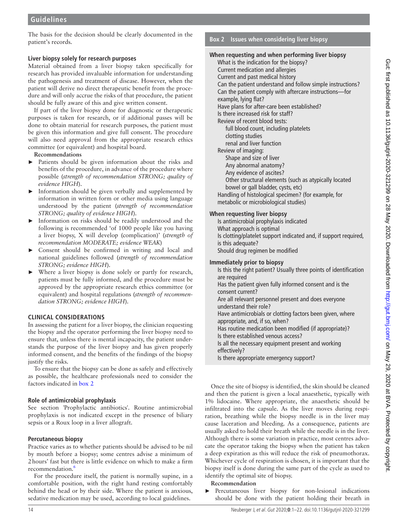The basis for the decision should be clearly documented in the patient's records.

# **Liver biopsy solely for research purposes**

Material obtained from a liver biopsy taken specifically for research has provided invaluable information for understanding the pathogenesis and treatment of disease. However, when the patient will derive no direct therapeutic benefit from the procedure and will only accrue the risks of that procedure, the patient should be fully aware of this and give written consent.

If part of the liver biopsy done for diagnostic or therapeutic purposes is taken for research, or if additional passes will be done to obtain material for research purposes, the patient must be given this information and give full consent. The procedure will also need approval from the appropriate research ethics committee (or equivalent) and hospital board.

**Recommendations**

- ► Patients should be given information about the risks and benefits of the procedure, in advance of the procedure where possible (*strength of recommendation STRONG; quality of evidence HIGH*).
- ► Information should be given verbally and supplemented by information in written form or other media using language understood by the patient (*strength of recommendation STRONG; quality of evidence HIGH*).
- ► Information on risks should be readily understood and the following is recommended 'of 1000 people like you having a liver biopsy, X will develop (complication)' (*strength of recommendation MODERATE; evidence WEAK*)
- ► Consent should be confirmed in writing and local and national guidelines followed (*strength of recommendation STRONG; evidence HIGH*).
- $\triangleright$  Where a liver biopsy is done solely or partly for research, patients must be fully informed, and the procedure must be approved by the appropriate research ethics committee (or equivalent) and hospital regulations (*strength of recommendation STRONG; evidence HIGH*).

# **Clinical considerations**

In assessing the patient for a liver biopsy, the clinician requesting the biopsy and the operator performing the liver biopsy need to ensure that, unless there is mental incapacity, the patient understands the purpose of the liver biopsy and has given properly informed consent, and the benefits of the findings of the biopsy justify the risks.

To ensure that the biopsy can be done as safely and effectively as possible, the healthcare professionals need to consider the factors indicated in [box](#page-13-0) 2

# **Role of antimicrobial prophylaxis**

See section 'Prophylactic antibiotics'. Routine antimicrobial prophylaxis is not indicated except in the presence of biliary sepsis or a Roux loop in a liver allograft.

# **Percutaneous biopsy**

Practice varies as to whether patients should be advised to be nil by mouth before a biopsy; some centres advise a minimum of 2hours' fast but there is little evidence on which to make a firm recommendation.<sup>[6](#page-18-4)</sup>

For the procedure itself, the patient is normally supine, in a comfortable position, with the right hand resting comfortably behind the head or by their side. Where the patient is anxious, sedative medication may be used, according to local guidelines.

# **Box 2 Issues when considering liver biopsy**

# <span id="page-13-0"></span>**When requesting and when performing liver biopsy**

What is the indication for the biopsy? Current medication and allergies Current and past medical history Can the patient understand and follow simple instructions? Can the patient comply with aftercare instructions—for example, lying flat? Have plans for after-care been established? Is there increased risk for staff? Review of recent blood tests: full blood count, including platelets clotting studies renal and liver function Review of imaging: Shape and size of liver Any abnormal anatomy? Any evidence of ascites? Other structural elements (such as atypically located bowel or gall bladder, cysts, etc) Handling of histological specimen? (for example, for metabolic or microbiological studies) **When requesting liver biopsy** Is antimicrobial prophylaxis indicated What approach is optimal Is clotting/platelet support indicated and, if support required, is this adequate? Should drug regimen be modified **Immediately prior to biopsy** Is this the right patient? Usually three points of identification are required Has the patient given fully informed consent and is the consent current? Are all relevant personnel present and does everyone understand their role? Have antimicrobials or clotting factors been given, where appropriate, and, if so, when? Has routine medication been modified (if appropriate)?

effectively?

Is all the necessary equipment present and working

Is there established venous access?

Is there appropriate emergency support?

Once the site of biopsy is identified, the skin should be cleaned and then the patient is given a local anaesthetic, typically with 1% lidocaine. Where appropriate, the anaesthetic should be infiltrated into the capsule. As the liver moves during respiration, breathing while the biopsy needle is in the liver may cause laceration and bleeding. As a consequence, patients are usually asked to hold their breath while the needle is in the liver. Although there is some variation in practice, most centres advocate the operator taking the biopsy when the patient has taken a deep expiration as this will reduce the risk of pneumothorax. Whichever cycle of respiration is chosen, it is important that the biopsy itself is done during the same part of the cycle as used to identify the optimal site of biopsy.

# **Recommendation**

► Percutaneous liver biopsy for non-lesional indications should be done with the patient holding their breath in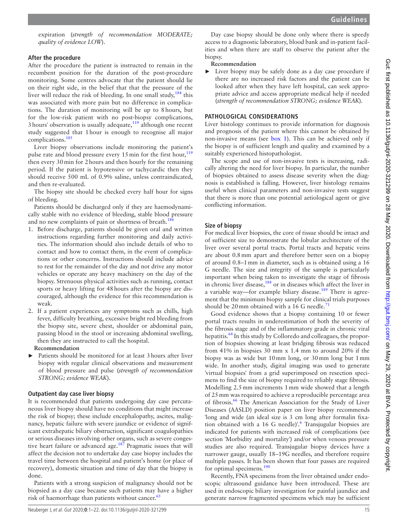expiration (*strength of recommendation MODERATE; quality of evidence LOW*).

#### **After the procedure**

After the procedure the patient is instructed to remain in the recumbent position for the duration of the post-procedure monitoring. Some centres advocate that the patient should lie on their right side, in the belief that that the pressure of the liver will reduce the risk of bleeding. In one small study,  $184$  this was associated with more pain but no difference in complications. The duration of monitoring will be up to 8hours, but for the low-risk patient with no post-biopsy complications,  $3$  hours' observation is usually adequate,  $119$  although one recent study suggested that 1hour is enough to recognise all major complications.[185](#page-21-6)

Liver biopsy observations include monitoring the patient's pulse rate and blood pressure every 15 min for the first hour,<sup>[119](#page-20-2)</sup> then every 30min for 2hours and then hourly for the remaining period. If the patient is hypotensive or tachycardic then they should receive 500 mL of 0.9% saline, unless contraindicated, and then re-evaluated.

The biopsy site should be checked every half hour for signs of bleeding.

Patients should be discharged only if they are haemodynamically stable with no evidence of bleeding, stable blood pressure and no new complaints of pain or shortness of breath.<sup>[186](#page-21-7)</sup>

- 1. Before discharge, patients should be given oral and written instructions regarding further monitoring and daily activities. The information should also include details of who to contact and how to contact them, in the event of complications or other concerns. Instructions should include advice to rest for the remainder of the day and not drive any motor vehicles or operate any heavy machinery on the day of the biopsy. Strenuous physical activities such as running, contact sports or heavy lifting for 48hours after the biopsy are discouraged, although the evidence for this recommendation is weak.
- 2. If a patient experiences any symptoms such as chills, high fever, difficulty breathing, excessive bright red bleeding from the biopsy site, severe chest, shoulder or abdominal pain, passing blood in the stool or increasing abdominal swelling, then they are instructed to call the hospital.

#### **Recommendation**

Patients should be monitored for at least 3 hours after liver biopsy with regular clinical observations and measurement of blood pressure and pulse (*strength of recommendation STRONG; evidence WEAK*).

#### **Outpatient day case liver biopsy**

It is recommended that patients undergoing day case percutaneous liver biopsy should have no conditions that might increase the risk of biopsy; these include encephalopathy, ascites, malignancy, hepatic failure with severe jaundice or evidence of significant extrahepatic biliary obstruction, significant coagulopathies or serious diseases involving other organs, such as severe congestive heart failure or advanced age.<sup>187</sup> Pragmatic issues that will affect the decision not to undertake day case biopsy includes the travel time between the hospital and patient's home (or place of recovery), domestic situation and time of day that the biopsy is done.

Patients with a strong suspicion of malignancy should not be biopsied as a day case because such patients may have a higher risk of haemorrhage than patients without cancer.<sup>[65](#page-19-31)</sup>

Day case biopsy should be done only where there is speedy access to a diagnostic laboratory, blood bank and in-patient facilities and when there are staff to observe the patient after the biopsy.

# **Recommendation**

► Liver biopsy may be safely done as a day case procedure if there are no increased risk factors and the patient can be looked after when they have left hospital, can seek appropriate advice and access appropriate medical help if needed (*strength of recommendation STRONG; evidence WEAK*).

# **Pathological considerations**

Liver histology continues to provide information for diagnosis and prognosis of the patient where this cannot be obtained by non-invasive means (see [box](#page-3-1) 1). This can be achieved only if the biopsy is of sufficient length and quality and examined by a suitably experienced histopathologist.

The scope and use of non-invasive tests is increasing, radically altering the need for liver biopsy. In particular, the number of biopsies obtained to assess disease severity when the diagnosis is established is falling. However, liver histology remains useful when clinical parameters and non-invasive tests suggest that there is more than one potential aetiological agent or give conflicting information.

# **Size of biopsy**

For medical liver biopsies, the core of tissue should be intact and of sufficient size to demonstrate the lobular architecture of the liver over several portal tracts. Portal tracts and hepatic veins are about 0.8mm apart and therefore better seen on a biopsy of around 0.8–1mm in diameter, such as is obtained using a 16 G needle. The size and integrity of the sample is particularly important when being taken to investigate the stage of fibrosis in chronic liver disease,<sup>188</sup> or in diseases which affect the liver in a variable way—for example biliary disease.<sup>189</sup> There is agreement that the minimum biopsy sample for clinical trials purposes should be 20 mm obtained with a 16 G needle.<sup>[71](#page-19-32)</sup>

Good evidence shows that a biopsy containing 10 or fewer portal tracts results in underestimation of both the severity of the fibrosis stage and of the inflammatory grade in chronic viral hepatitis.<sup>[64](#page-19-1)</sup> In this study by Colloredo and colleagues, the proportion of biopsies showing at least bridging fibrosis was reduced from 41% in biopsies 30 mm x 1.4 mm to around 20% if the biopsy was as wide but 10mm long, or 30mm long but 1mm wide. In another study, digital imaging was used to generate 'virtual biopsies' from a grid superimposed on resection specimens to find the size of biopsy required to reliably stage fibrosis. Modelling 2.5mm increments 1mm wide showed that a length of 25mm was required to achieve a reproducible percentage area of fibrosis.[66](#page-19-33) The American Association for the Study of Liver Diseases (AASLD) position paper on liver biopsy recommends 'long and wide (an ideal size is 3 cm long after formalin fixa-tion obtained with a 1[6](#page-18-4) G needle)'.<sup>6</sup> Transjugular biopsies are indicated for patients with increased risk of complications (see section 'Morbidity and mortality') and/or when venous pressure studies are also required. Transjugular biopsy devices have a narrower gauge, usually 18–19G needles, and therefore require multiple passes. It has been shown that four passes are required for optimal specimens.<sup>[190](#page-21-11)</sup>

Recently, FNA specimens from the liver obtained under endoscopic ultrasound guidance have been introduced. These are used in endoscopic biliary investigation for painful jaundice and generate narrow fragmented specimens which may be sufficient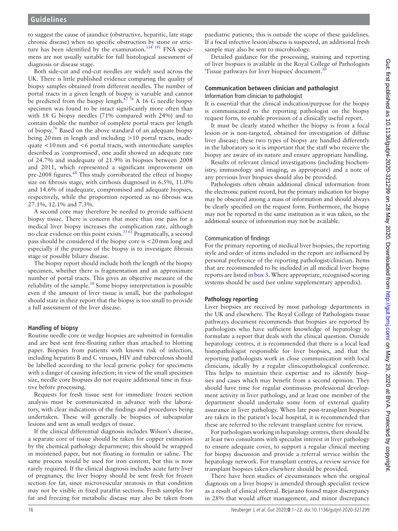# **Guidelines**

to suggest the cause of jaundice (obstructive, hepatitic, late stage chronic disease) when no specific obstruction by stone or stricture has been identified by the examination.<sup>134 191</sup> FNA specimens are not usually suitable for full histological assessment of diagnosis or disease stage.

Both side-cut and end-cut needles are widely used across the UK. There is little published evidence comparing the quality of biopsy samples obtained from different needles. The number of portal tracts in a given length of biopsy is variable and cannot be predicted from the biopsy length.<sup>6776</sup> A 16 G needle biopsy specimen was found to be intact significantly more often than with 18 G biopsy needles (71% compared with 24%) and to contain double the number of complete portal tracts per length of biopsy.<sup>76</sup> Based on the above standard of an adequate biopsy being 20mm in length and including >10 portal tracts, inadequate <10mm and <6 portal tracts, with intermediate samples described as 'compromised', one audit showed an adequate rate of 24.7% and inadequate of 21.9% in biopsies between 2008 and 2011, which represented a significant improvement on pre-2008 figures.<sup>[68](#page-19-36)</sup> This study corroborated the effect of biopsy size on fibrosis stage, with cirrhosis diagnosed in 6.5%, 11.0% and 14.6% of inadequate, compromised and adequate biopsies, respectively, while the proportion reported as no fibrosis was 27.1%, 12.1% and 7.3%.

A second core may therefore be needed to provide sufficient biopsy tissue. There is concern that more than one pass for a medical liver biopsy increases the complication rate, although no clear evidence on this point exists.<sup>35 61</sup> Pragmatically, a second pass should be considered if the biopsy core is <20mm long and especially if the purpose of the biopsy is to investigate fibrosis stage or possible biliary disease.

The biopsy report should include both the length of the biopsy specimen, whether there is fragmentation and an approximate number of portal tracts. This gives an objective measure of the reliability of the sample.<sup>[10](#page-18-8)</sup> Some biopsy interpretation is possible even if the amount of liver tissue is small, but the pathologist should state in their report that the biopsy is too small to provide a full assessment of the liver disease.

#### **Handling of biopsy**

Routine needle core or wedge biopsies are submitted in formalin and are best sent free-floating rather than attached to blotting paper. Biopsies from patients with known risk of infection, including hepatitis B and C viruses, HIV and tuberculosis should be labelled according to the local generic policy for specimens with a danger of causing infection; in view of the small specimen size, needle core biopsies do not require additional time in fixative before processing.

Requests for fresh tissue sent for immediate frozen section analysis must be communicated in advance with the laboratory, with clear indications of the findings and procedures being undertaken. These will generally be biopsies of subcapsular lesions and sent as small wedges of tissue.

If the clinical differential diagnosis includes Wilson's disease, a separate core of tissue should be taken for copper estimation by the chemical pathology department; this should be wrapped in moistened paper, but not floating in formalin or saline. The same process would be used for iron content, but this is now rarely required. If the clinical diagnosis includes acute fatty liver of pregnancy, the liver biopsy should be sent fresh for frozen section for fat, since microvesicular steatosis in that condition may not be visible in fixed paraffin sections. Fresh samples for fat and freezing for metabolic disease may also be taken from

paediatric patients; this is outside the scope of these guidelines. If a focal infective lesion/abscess is suspected, an additional fresh sample may also be sent to microbiology.

Detailed guidance for the processing, staining and reporting of liver biopsies is available in the Royal College of Pathologists 'Tissue pathways for liver biopsies' document.<sup>1</sup>

#### **Communication between clinician and pathologist** Information from clinician to pathologist

It is essential that the clinical indication/purpose for the biopsy is communicated to the reporting pathologist on the biopsy request form, to enable provision of a clinically useful report.

It must be clearly stated whether the biopsy is from a focal lesion or is non-targeted, obtained for investigation of diffuse liver disease; these two types of biopsy are handled differently in the laboratory so it is important that the staff who receive the biopsy are aware of its nature and ensure appropriate handling.

Results of relevant clinical investigations (including biochemistry, immunology and imaging, as appropriate) and a note of any previous liver biopsies should also be provided.

Pathologists often obtain additional clinical information from the electronic patient record, but the primary indication for biopsy may be obscured among a mass of information and should always be clearly specified on the request form. Furthermore, the biopsy may not be reported in the same institution as it was taken, so the additional source of information may not be available.

#### Communication of findings

For the primary reporting of medical liver biopsies, the reporting style and order of items included in the report are influenced by personal preference of the reporting pathologist/clinician. Items that are recommended to be included in all medical liver biopsy reports are listed in [box](#page-16-0) 3. Where appropriate, recognised scoring systems should be used (see [online supplementary appendix\)](https://dx.doi.org/10.1136/gutjnl-2020-321299).

# **Pathology reporting**

Liver biopsies are received by most pathology departments in the UK and elsewhere. The Royal College of Pathologists tissue pathways document recommends that biopsies are reported by pathologists who have sufficient knowledge of hepatology to formulate a report that deals with the clinical question. Outside hepatology centres, it is recommended that there is a local lead histopathologist responsible for liver biopsies, and that the reporting pathologists work in close communication with local clinicians, ideally by a regular clinicopathological conference. This helps to maintain their expertise and to identify biopsies and cases which may benefit from a second opinion. They should have time for regular continuous professional development activity in liver pathology, and at least one member of the department should undertake some form of external quality assurance in liver pathology. When late post-transplant biopsies are taken in the patient's local hospital, it is recommended that these are referred to the relevant transplant centre for review.

For pathologists working in hepatology centres, there should be at least two consultants with specialist interest in liver pathology to ensure adequate cover, to support a regular clinical meeting for biopsy discussion and provide a referral service within the hepatology network. For transplant centres, a review service for transplant biopsies taken elsewhere should be provided.

There have been studies of circumstances when the original diagnosis on a liver biopsy is amended through specialist review as a result of clinical referral. Bejarano found major discrepancy in 28% that would affect management, and minor discrepancy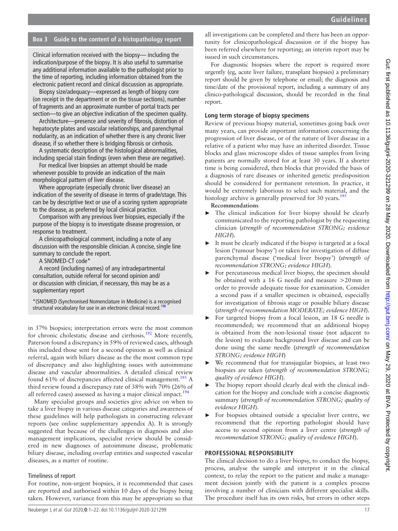# **Box 3 Guide to the content of a histopathology report**

<span id="page-16-0"></span>Clinical information received with the biopsy— including the indication/purpose of the biopsy. It is also useful to summarise any additional information available to the pathologist prior to the time of reporting, including information obtained from the electronic patient record and clinical discussion as appropriate.

Biopsy size/adequacy—expressed as length of biopsy core (on receipt in the department or on the tissue sections), number of fragments and an approximate number of portal tracts per section—to give an objective indication of the specimen quality.

Architecture—presence and severity of fibrosis, distortion of hepatocyte plates and vascular relationships, and parenchymal nodularity, as an indication of whether there is any chronic liver disease, if so whether there is bridging fibrosis or cirrhosis.

A systematic description of the histological abnormalities, including special stain findings (even when these are negative).

For medical liver biopsies an attempt should be made whenever possible to provide an indication of the main morphological pattern of liver disease.

Where appropriate (especially chronic liver disease) an indication of the severity of disease in terms of grade/stage. This can be by descriptive text or use of a scoring system appropriate to the disease, as preferred by local clinical practice.

Comparison with any previous liver biopsies, especially if the purpose of the biopsy is to investigate disease progression, or response to treatment.

A clinicopathological comment, including a note of any discussion with the responsible clinician. A concise, single line summary to conclude the report.

A SNOMED-CT code\*

A record (including names) of any intradepartmental consultation, outside referral for second opinion and/ or discussion with clinician, if necessary, this may be as a supplementary report

\*(SNOMED (Synchronised Nomenclature in Medicine) is a recognised structural vocabulary for use in an electronic clinical record.<sup>19</sup>

in 37% biopsies; interpretation errors were the most common for chronic cholestatic disease and cirrhosis.<sup>192</sup> More recently, Paterson found a discrepancy in 59% of reviewed cases, although this included those sent for a second opinion as well as clinical referral, again with biliary disease as the the most common type of discrepancy and also highlighting issues with autoimmune disease and vascular abnormalities. A detailed clinical review found 61% of discrepancies affected clinical management.<sup>[193](#page-21-14)</sup> A third review found a discrepancy rate of 38% with 70% (26% of all referred cases) assessed as having a major clinical impact.<sup>194</sup>

Many specialist groups and societies give advice on when to take a liver biopsy in various disease categories and awareness of these guidelines will help pathologists in constructing relevant reports (see [online supplementary appendix A\)](https://dx.doi.org/10.1136/gutjnl-2020-321299). It is strongly suggested that because of the challenges in diagnosis and also management implications, specialist review should be considered in new diagnoses of autoimmune disease, problematic biliary disease, including overlap entities and suspected vascular diseases, as a matter of routine.

#### Timeliness of report

For routine, non-urgent biopsies, it is recommended that cases are reported and authorised within 10 days of the biopsy being taken. However, variance from this may be appropriate so that

all investigations can be completed and there has been an opportunity for clinicopathological discussion or if the biopsy has been referred elsewhere for reporting; an interim report may be issued in such circumstances.

For diagnostic biopsies where the report is required more urgently (eg, acute liver failure, transplant biopsies) a preliminary report should be given by telephone or email; the diagnosis and time/date of the provisional report, including a summary of any clinico-pathological discussion, should be recorded in the final report.

#### **Long term storage of biopsy specimens**

Review of previous biopsy material, sometimes going back over many years, can provide important information concerning the progression of liver disease, or of the nature of liver disease in a relative of a patient who may have an inherited disorder. Tissue blocks and glass microscope slides of tissue samples from living patients are normally stored for at least 30 years. If a shorter time is being considered, then blocks that provided the basis of a diagnosis of rare diseases or inherited genetic predisposition should be considered for permanent retention. In practice, it would be extremely laborious to select such material, and the histology archive is generally preserved for 30 years.<sup>[195](#page-21-16)</sup>

#### **Recommendations**

- The clinical indication for liver biopsy should be clearly communicated to the reporting pathologist by the requesting clinician (*strength of recommendation STRONG; evidence HIGH*).
- It must be clearly indicated if the biopsy is targeted at a focal lesion ('tumour biopsy') or taken for investigation of diffuse parenchymal disease ('medical liver biopsy') (*strength of recommendation STRONG; evidence HIGH*).
- For percutaneous medical liver biopsy, the specimen should be obtained with a 16 G needle and measure >20mm in order to provide adequate tissue for examination. Consider a second pass if a smaller specimen is obtained, especially for investigation of fibrosis stage or possible biliary disease (*strength of recommendation MODERATE; evidence HIGH*).
- For targeted biopsy from a focal lesion, an 18 G needle is recommended; we recommend that an additional biopsy is obtained from the non-lesional tissue (not adjacent to the lesion) to evaluate background liver disease and can be done using the same needle (*strength of recommendation STRONG; evidence HIGH*)
- We recommend that for transjugular biopsies, at least two biopsies are taken (*strength of recommendation STRONG; quality of evidence HIGH*).
- ► The biopsy report should clearly deal with the clinical indication for the biopsy and conclude with a concise diagnostic summary (*strength of recommendation STRONG; quality of evidence HIGH*).
- ► For biopsies obtained outside a specialist liver centre, we recommend that the reporting pathologist should have access to second opinion from a liver centre (*strength of recommendation STRONG; quality of evidence HIGH*).

#### **Professional responsibility**

The clinical decision to do a liver biopsy, to conduct the biopsy, process, analyse the sample and interpret it in the clinical context, to relay the report to the patient and make a management decision jointly with the patient is a complex process involving a number of clinicians with different specialist skills. The procedure itself has its own risks, but errors in other steps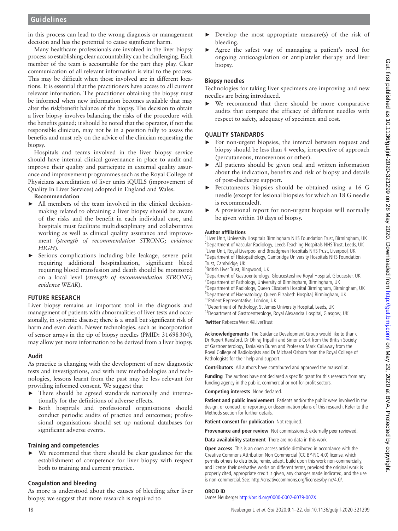in this process can lead to the wrong diagnosis or management decision and has the potential to cause significant harm.

Many healthcare professionals are involved in the liver biopsy process so establishing clear accountability can be challenging. Each member of the team is accountable for the part they play. Clear communication of all relevant information is vital to the process. This may be difficult when those involved are in different locations. It is essential that the practitioners have access to all current relevant information. The practitioner obtaining the biopsy must be informed when new information becomes available that may alter the risk/benefit balance of the biopsy. The decision to obtain a liver biopsy involves balancing the risks of the procedure with the benefits gained; it should be noted that the operator, if not the responsible clinician, may not be in a position fully to assess the benefits and must rely on the advice of the clinician requesting the biopsy.

Hospitals and teams involved in the liver biopsy service should have internal clinical governance in place to audit and improve their quality and participate in external quality assurance and improvement programmes such as the Royal College of Physicians accreditation of liver units iQUILS (improvement of Quality In Liver Services) adopted in England and Wales.

**Recommendation**

- All members of the team involved in the clinical decisionmaking related to obtaining a liver biopsy should be aware of the risks and the benefit in each individual case, and hospitals must facilitate multidisciplinary and collaborative working as well as clinical quality assurance and improvement (*strength of recommendation STRONG; evidence HIGH*).
- ► Serious complications including bile leakage, severe pain requiring additional hospitalisation, significant bleed requiring blood transfusion and death should be monitored on a local level (*strength of recommendation STRONG; evidence WEAK*).

# **Future research**

Liver biopsy remains an important tool in the diagnosis and management of patients with abnormalities of liver tests and occasionally, in systemic disease; there is a small but significant risk of harm and even death. Newer technologies, such as incorporation of sensor arrays in the tip of biopsy needles (PMID: 31698304), may allow yet more information to be derived from a liver biopsy.

#### **Audit**

As practice is changing with the development of new diagnostic tests and investigations, and with new methodologies and technologies, lessons learnt from the past may be less relevant for providing informed consent. We suggest that

- ► There should be agreed standards nationally and internationally for the definitions of adverse effects.
- ► Both hospitals and professional organisations should conduct periodic audits of practice and outcomes; professional organisations should set up national databases for significant adverse events.

#### **Training and competencies**

We recommend that there should be clear guidance for the establishment of competence for liver biopsy with respect both to training and current practice.

# **Coagulation and bleeding**

As more is understood about the causes of bleeding after liver biopsy, we suggest that more research is required to

- Develop the most appropriate measure(s) of the risk of bleeding.
- Agree the safest way of managing a patient's need for ongoing anticoagulation or antiplatelet therapy and liver biopsy.

# **Biopsy needles**

Technologies for taking liver specimens are improving and new needles are being introduced.

► We recommend that there should be more comparative audits that compare the efficacy of different needles with respect to safety, adequacy of specimen and cost.

# **Quality standards**

- For non-urgent biopsies, the interval between request and biopsy should be less than 4 weeks, irrespective of approach (percutaneous, transvenous or other).
- ► All patients should be given oral and written information about the indication, benefits and risk of biopsy and details of post-discharge support.
- Percutaneous biopsies should be obtained using a 16 G needle (except for lesional biopsies for which an 18 G needle is recommended).
- A provisional report for non-urgent biopsies will normally be given within 10 days of biopsy.

#### **Author affiliations**

<sup>1</sup> Liver Unit, University Hospitals Birmingham NHS Foundation Trust, Birmingham, UK <sup>2</sup>Department of Vascular Radiology, Leeds Teaching Hospitals NHS Trust, Leeds, UK <sup>3</sup>Liver Unit, Royal Liverpool and Broadgreen Hospitals NHS Trust, Liverpool, UK 4 Department of Histopathology, Cambridge University Hospitals NHS Foundation Trust, Cambridge, UK

5 British Liver Trust, Ringwood, UK

<sup>6</sup>Department of Gastroenterology, Gloucestershire Royal Hospital, Gloucester, UK <sup>7</sup>Department of Pathology, University of Birmingham, Birmingham, UK 8 Department of Radiology, Queen Elizabeth Hospital Birmingham, Birmingham, UK 9 Department of Haematology, Queen Elizabeth Hospital, Birmingham, UK <sup>10</sup>Patient Representative, London, UK

11Department of Pathology, St James University Hospital, Leeds, UK <sup>12</sup>Department of Gastroenterology, Royal Alexandra Hospital, Glasgow, UK

**Twitter** Rebecca West [@LiverTrust](https://twitter.com/LiverTrust)

**Acknowledgements** The Guidance Development Group would like to thank Dr Rupert Ransford, Dr Dhiraj Tripathi and Simone Cort from the British Society of Gastroenterology, Tania Van Buren and Professor Mark Callaway from the Royal College of Radiologists and Dr Michael Osborn from the Royal College of Pathologists for their help and support.

**Contributors** All authors have contributed and approved the mauscriipt.

**Funding** The authors have not declared a specific grant for this research from any funding agency in the public, commercial or not-for-profit sectors.

**Competing interests** None declared.

**Patient and public involvement** Patients and/or the public were involved in the design, or conduct, or reporting, or dissemination plans of this research. Refer to the Methods section for further details.

**Patient consent for publication** Not required.

**Provenance and peer review** Not commissioned; externally peer reviewed.

**Data availability statement** There are no data in this work

**Open access** This is an open access article distributed in accordance with the Creative Commons Attribution Non Commercial (CC BY-NC 4.0) license, which permits others to distribute, remix, adapt, build upon this work non-commercially, and license their derivative works on different terms, provided the original work is properly cited, appropriate credit is given, any changes made indicated, and the use is non-commercial. See: [http://creativecommons.org/licenses/by-nc/4.0/.](http://creativecommons.org/licenses/by-nc/4.0/)

#### **ORCID iD**

James Neuberger <http://orcid.org/0000-0002-6079-002X>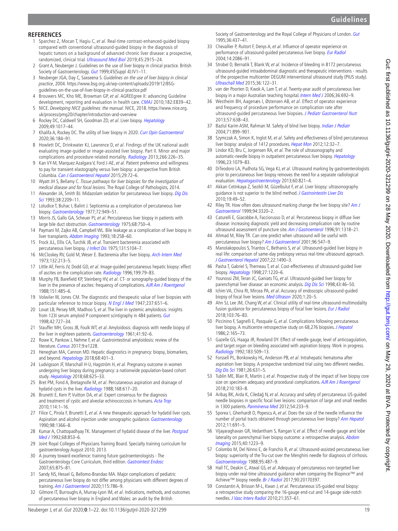#### **References**

- <span id="page-18-0"></span>1 Sparchez Z, Mocan T, Hagiu C, et al. Real-time contrast-enhanced-guided biopsy compared with conventional ultrasound-guided biopsy in the diagnosis of hepatic tumors on a background of advanced chronic liver disease: a prospective, randomized, clinical trial. [Ultrasound Med Biol](http://dx.doi.org/10.1016/j.ultrasmedbio.2019.07.678) 2019;45:2915–24.
- <span id="page-18-1"></span>2 Grant A, Neuberger J. Guidelines on the use of liver biopsy in clinical practice. British Society of Gastroenterology. [Gut](http://dx.doi.org/10.1136/gut.45.2008.iv1) 1999;45(Suppl 4):IV1-11.
- <span id="page-18-2"></span>3 Neuberger JGA, Day C, Saxseena S. Guidelines on the use of liver biopsy in clinical practice, 2004. [https://www.bsg.org.uk/wp-content/uploads/2019/12/BSG](https://www.bsg.org.uk/wp-content/uploads/2019/12/BSG-guidelines-on-the-use-of-liver-biopsy-in-clinical-practice.pdf)[guidelines-on-the-use-of-liver-biopsy-in-clinical-practice.pdf](https://www.bsg.org.uk/wp-content/uploads/2019/12/BSG-guidelines-on-the-use-of-liver-biopsy-in-clinical-practice.pdf)
- <span id="page-18-3"></span>4 Brouwers MC, Kho ME, Browman GP, et al. AGREEgree II: advancing Guideline development, reporting and evaluation in health care. [CMAJ](http://dx.doi.org/10.1503/cmaj.090449) 2010;182:E839–42.
- 5 NICE. Developing NICE guidelines: the manual. NICE, 2018. [https://www.nice.org.](https://www.nice.org.uk/process/pmg20/chapter/introduction-and-overview) [uk/process/pmg20/chapter/introduction-and-overview](https://www.nice.org.uk/process/pmg20/chapter/introduction-and-overview)
- <span id="page-18-4"></span>6 Rockey DC, Caldwell SH, Goodman ZD, et al. Liver biopsy. [Hepatology](http://dx.doi.org/10.1002/hep.22742) 2009;49:1017–44.
- <span id="page-18-5"></span>7 Khalifa A, Rockey DC. The utility of liver biopsy in 2020. [Curr Opin Gastroenterol](http://dx.doi.org/10.1097/MOG.0000000000000621) 2020;36:184–91.
- <span id="page-18-6"></span>8 Howlett DC, Drinkwater KJ, Lawrence D, et al. Findings of the UK national audit evaluating image-guided or image-assisted liver biopsy. Part II. Minor and major complications and procedure-related mortality. [Radiology](http://dx.doi.org/10.1148/radiol.12120224) 2013;266:226-35.
- <span id="page-18-7"></span>9 Kan VY-M, Marquez Azalgara V, Ford J-AE, et al. Patient preference and willingness to pay for transient elastography versus liver biopsy: a perspective from British Columbia. [Can J Gastroenterol Hepatol](http://dx.doi.org/10.1155/2015/169190) 2015;29:72–6.
- <span id="page-18-8"></span>10 Wyatt JH S, Bellamy C. Tissue pathways for liver biopsies for the investigation of medical disease and for focal lesions. The Royal College of Pathologists, 2014.
- <span id="page-18-9"></span>11 Alexander JA, Smith BJ. Midazolam sedation for percutaneous liver biopsy. [Dig Dis](http://dx.doi.org/10.1007/BF01299897)  [Sci](http://dx.doi.org/10.1007/BF01299897) 1993;38:2209–11.
- <span id="page-18-10"></span>12 LoIudice T, Buhac I, Balint J. Septicemia as a complication of percutaneous liver biopsy. [Gastroenterology](http://dx.doi.org/10.1016/S0016-5085(77)80218-7) 1977;72:949–51.
- <span id="page-18-11"></span>13 Morris JS, Gallo GA, Scheuer PJ, et al. Percutaneous liver biopsy in patients with large bile duct obstruction. [Gastroenterology](http://dx.doi.org/10.1016/S0016-5085(75)80286-1) 1975;68:750-4.
- <span id="page-18-12"></span>14 Paymani M, Zajko AB, Campbell WL. Bile leakage as a complication of liver biopsy in liver transplants. [Abdom Imaging](http://dx.doi.org/10.1007/BF00198117) 1993;18:258-60.
- <span id="page-18-13"></span>15 Frock JLL, Ellis CA, Turchik JB, et al. Transient bacteremia associated with percutaneous liver biopsy. [J Infect Dis](http://dx.doi.org/10.1093/infdis/131.Supplement.S104) 1975;131:S104-7.
- 16 McCloskey RV, Gold M, Weser E. Bacteremia after liver biopsy. [Arch Intern Med](http://dx.doi.org/10.1001/archinte.1973.03650080057011) 1973;132:213–5.
- <span id="page-18-14"></span>17 Little AF, Ferris JV, Dodd GD, et al. Image-guided percutaneous hepatic biopsy: effect of ascites on the complication rate. [Radiology](http://dx.doi.org/10.1148/radiology.199.1.8633176) 1996;199:79-83.
- 18 Murphy FB, Barefield KP, Steinberg HV, et al. CT- or sonography-guided biopsy of the liver in the presence of ascites: frequency of complications. [AJR Am J Roentgenol](http://dx.doi.org/10.2214/ajr.151.3.485) 1988;151:485–6.
- <span id="page-18-15"></span>19 Volwiler W, Jones CM. The diagnostic and therapeutic value of liver biopsies with particular reference to trocar biopsy. [N Engl J Med](http://dx.doi.org/10.1056/NEJM194710302371801) 1947;237:651-6.
- <span id="page-18-16"></span>20 Lovat LB, Persey MR, Madhoo S, et al. The liver in systemic amyloidosis: insights from 123I serum amyloid P component scintigraphy in 484 patients. [Gut](http://dx.doi.org/10.1136/gut.42.5.727) 1998;42:727–34.
- <span id="page-18-17"></span>21 Stauffer MH, Gross JB, Foulk WT, et al. Amyloidosis: diagnosis with needle biopsy of the liver in eighteen patients. [Gastroenterology](http://dx.doi.org/10.1016/S0016-5085(19)35154-6) 1961;41:92-6.
- <span id="page-18-18"></span>22 Rowe K, Pankow J, Nehme F, et al. Gastrointestinal amyloidosis: review of the literature. [Cureus](http://dx.doi.org/10.7759/cureus.1228) 2017;9:e1228.
- <span id="page-18-19"></span>23 Heneghan MA, Cannon MD. Hepatic diagnostics in pregnancy: biopsy, biomarkers, and beyond. [Hepatology](http://dx.doi.org/10.1002/hep.29859) 2018;68:401-3.
- <span id="page-18-20"></span>24 Ludvigsson JF, Marschall H-U, Hagström H, et al. Pregnancy outcome in women undergoing liver biopsy during pregnancy: a nationwide population-based cohort study. [Hepatology](http://dx.doi.org/10.1002/hep.29345) 2018;68:625–33.
- <span id="page-18-21"></span>25 Bret PM, Fond A, Bretagnolle M, et al. Percutaneous aspiration and drainage of hydatid cysts in the liver. [Radiology](http://dx.doi.org/10.1148/radiology.168.3.3043542) 1988;168:617-20.
- 26 Brunetti E, Kern P, Vuitton DA, et al. Expert consensus for the diagnosis and treatment of cystic and alveolar echinococcosis in humans. [Acta Trop](http://dx.doi.org/10.1016/j.actatropica.2009.11.001) 2010;114:1–16.
- 27 Filice C, Pirola F, Brunetti E, et al. A new therapeutic approach for hydatid liver cysts. Aspiration and alcohol injection under sonographic guidance. [Gastroenterology](http://dx.doi.org/10.1016/0016-5085(90)90358-8) 1990;98:1366–8.
- 28 Kumar A, Chattopadhyay TK. Management of hydatid disease of the liver. Postgrad [Med J](http://dx.doi.org/10.1136/pgmj.68.805.853) 1992;68:853–6.
- <span id="page-18-22"></span>29 Joint Royal Colleges of Physicians Training Board. Specialty training curriculum for gastroenterology August 2010; 2013.
- <span id="page-18-23"></span>30 A journey toward excellence: training future gastroenterologists - The Gastroenterology Core Curriculum, third edition. [Gastrointest Endosc](http://dx.doi.org/10.1016/j.gie.2007.03.1043) 2007;65:875–81.
- <span id="page-18-24"></span>31 Sandy NS, Hessel G, Bellomo-Brandao MA. Major complications of pediatric percutaneous liver biopsy do not differ among physicians with different degrees of training. [Am J Gastroenterol](http://dx.doi.org/10.14309/ajg.0000000000000459) 2020;115:786-9.
- <span id="page-18-25"></span>32 Gilmore IT, Burroughs A, Murray-Lyon IM, et al. Indications, methods, and outcomes of percutaneous liver biopsy in England and Wales: an audit by the British

Society of Gastroenterology and the Royal College of Physicians of London. [Gut](http://dx.doi.org/10.1136/gut.36.3.437) 1995;36:437–41.

- <span id="page-18-26"></span>33 Chevallier P, Ruitort F, Denys A, et al. Influence of operator experience on performance of ultrasound-quided percutaneous liver biopsy. [Eur Radiol](http://dx.doi.org/10.1007/s00330-004-2407-0) 2004;14:2086–91.
- <span id="page-18-49"></span>34 Strobel D, Bernatik T, Blank W, et al. Incidence of bleeding in 8172 percutaneous ultrasound-guided intraabdominal diagnostic and therapeutic interventions - results of the prospective multicenter DEGUM interventional ultrasound study (PIUS study). [Ultraschall Med](http://dx.doi.org/10.1055/s-0034-1399282) 2015;36:122–31.
- <span id="page-18-47"></span>35 van der Poorten D, Kwok A, Lam T, et al. Twenty-year audit of percutaneous liver biopsy in a major Australian teaching hospital. [Intern Med J](http://dx.doi.org/10.1111/j.1445-5994.2006.01216.x) 2006;36:692-9.
- <span id="page-18-48"></span>36 Westheim BH, Aagenæs I, Østensen AB, et al. Effect of operator experience and frequency of procedure performance on complication rate after ultrasound-quided percutaneous liver biopsies. [J Pediatr Gastroenterol Nutr](http://dx.doi.org/10.1097/MPG.0b013e3182a0c7a5) 2013;57:638–43.
- <span id="page-18-27"></span>37 Bazlul Karim ASM, Rahman M. Safety of blind liver biopsy, *[Indian J Pediatr](http://dx.doi.org/10.1007/BF02830832)* 2004;71:899–901.
- 38 Szymczak A, Simon K, Inglot M, et al. Safety and effectiveness of blind percutaneous liver biopsy: analysis of 1412 procedures. [Hepat Mon](http://dx.doi.org/10.5812/kowsar.1735143X.4388) 2012;12:32-7.
- <span id="page-18-28"></span>39 Lindor KD, Bru C, Jorgensen RA, et al. The role of ultrasonography and automatic-needle biopsy in outpatient percutaneous liver biopsy. [Hepatology](http://dx.doi.org/10.1002/hep.510230522) 1996;23:1079–83.
- <span id="page-18-29"></span>40 DiTeodoro LA, Pudhota SG, Vega KJ, et al. Ultrasound marking by gastroenterologists prior to percutaneous liver biopsy removes the need for a separate radiological evaluation. [Hepatogastroenterology](http://dx.doi.org/10.5754/hge121106) 2013;60:821-4.
- <span id="page-18-30"></span>41 Akkan Cetinkaya Z, Sezikli M, Güzelbulut F, et al. Liver biopsy: ultrasonography quidance is not superior to the blind method. [J Gastrointestin Liver Dis](http://www.ncbi.nlm.nih.gov/pubmed/http://www.ncbi.nlm.nih.gov/pubmed/20361075) 2010;19:49–52.
- <span id="page-18-31"></span>42 Riley TR. How often does ultrasound marking change the liver biopsy site? Am J [Gastroenterol](http://dx.doi.org/10.1111/j.1572-0241.1999.01545.x) 1999;94:3320–2.
- <span id="page-18-32"></span>43 Caturelli E, Giacobbe A, Facciorusso D, et al. Percutaneous biopsy in diffuse liver disease: increasing diagnostic yield and decreasing complication rate by routine ultrasound assessment of puncture site. [Am J Gastroenterol](http://www.ncbi.nlm.nih.gov/pubmed/http://www.ncbi.nlm.nih.gov/pubmed/8677986) 1996;91:1318-21.
- <span id="page-18-33"></span>44 Ahmad M, Riley TR. Can one predict when ultrasound will be useful with percutaneous liver biopsy? [Am J Gastroenterol](http://dx.doi.org/10.1111/j.1572-0241.2001.03557.x) 2001;96:547-9.
- <span id="page-18-34"></span>45 Manolakopoulos S, Triantos C, Bethanis S, et al. Ultrasound-guided liver biopsy in real life: comparison of same-day prebiopsy versus real-time ultrasound approach. [J Gastroenterol Hepatol](http://dx.doi.org/10.1111/j.1440-1746.2007.04992.x) 2007;22:1490–3.
- <span id="page-18-35"></span>46 Pasha T, Gabriel S, Therneau T, et al. Cost-effectiveness of ultrasound-guided liver biopsy. [Hepatology](http://dx.doi.org/10.1002/hep.510270506) 1998;27:1220–6.
- 47 Younossi ZM, Teran JC, Ganiats TG, et al. Ultrasound-guided liver biopsy for parenchymal liver disease: an economic analysis. [Dig Dis Sci](http://dx.doi.org/10.1023/A:1018815802500) 1998;43:46-50.
- <span id="page-18-36"></span>48 Ichim VA, Chira RI, Mircea PA, et al. Accuracy of endoscopic ultrasound-guided biopsy of focal liver lesions. [Med Ultrason](http://dx.doi.org/10.11152/mu-2078) 2020;1:20-5.
- <span id="page-18-37"></span>49 Ahn SJ, Lee JM, Chang W, et al. Clinical utility of real-time ultrasound-multimodality fusion guidance for percutaneous biopsy of focal liver lesions. [Eur J Radiol](http://dx.doi.org/10.1016/j.ejrad.2018.04.002) 2018;103:76–83.
- <span id="page-18-38"></span>50 Piccinino F, Sagnelli E, Pasquale G, et al. Complications following percutaneous liver biopsy. A multicentre retrospective study on 68,276 biopsies. [J Hepatol](http://dx.doi.org/10.1016/s0168-8278(86)80075-7) 1986;2:165–73.
- <span id="page-18-39"></span>51 Gazelle GS, Haaga JR, Rowland DY. Effect of needle gauge, level of anticoagulation, and target organ on bleeding associated with aspiration biopsy. Work in progress. [Radiology](http://dx.doi.org/10.1148/radiology.183.2.1561359) 1992;183:509–13.
- <span id="page-18-40"></span>52 Forssell PL, Bonkowsky HL, Anderson PB, et al. Intrahepatic hematoma after aspiration liver biopsy. A prospective randomized trial using two different needles. [Dig Dis Sci](http://dx.doi.org/10.1007/BF01367676) 1981;26:631–5.
- <span id="page-18-46"></span>53 Tublin ME, Blair R, Martin J, et al. Prospective study of the impact of liver biopsy core size on specimen adequacy and procedural complications. [AJR Am J Roentgenol](http://dx.doi.org/10.2214/AJR.17.17792) 2018;210:183–8.
- <span id="page-18-41"></span>54 Aribaş BK, Arda K, Ciledağ N, et al. Accuracy and safety of percutaneous US-guided needle biopsies in specific focal liver lesions: comparison of large and small needles in 1300 patients. [Panminerva Med](http://www.ncbi.nlm.nih.gov/pubmed/http://www.ncbi.nlm.nih.gov/pubmed/22801441) 2012;54:233-9.
- <span id="page-18-45"></span>55 Sporea I, Gherhardt D, Popescu A, et al. Does the size of the needle influence the number of portal tracts obtained through percutaneous liver biopsy? [Ann Hepatol](http://dx.doi.org/10.1016/S1665-2681(19)31444-9) 2012;11:691–5.
- 56 Vijayaraghavan GR, Vedantham S, Rangan V, et al. Effect of needle gauge and lobe laterality on parenchymal liver biopsy outcome: a retrospective analysis. Abdom [Imaging](http://dx.doi.org/10.1007/s00261-014-0290-y) 2015;40:1223–9.
- <span id="page-18-42"></span>57 Colombo M, Del Ninno E, de Franchis R, et al. Ultrasound-assisted percutaneous liver biopsy: superiority of the Tru-cut over the Menghini needle for diagnosis of cirrhosis. [Gastroenterology](http://dx.doi.org/10.1016/0016-5085(88)90509-4) 1988;95:487–9.
- <span id="page-18-43"></span>58 Hall TC, Deakin C, Atwal GS, et al. Adequacy of percutaneous non-targeted liver biopsy under real-time ultrasound guidance when comparing the Biopince™ and Achieve™ biopsy needle. [Br J Radiol](http://dx.doi.org/10.1259/bjr.20170397) 2017;90:20170397.
- <span id="page-18-44"></span>59 Constantin A, Brisson M-L, Kwan J, et al. Percutaneous US-guided renal biopsy: a retrospective study comparing the 16-gauge end-cut and 14-gauge side-notch needles. [J Vasc Interv Radiol](http://dx.doi.org/10.1016/j.jvir.2009.11.005) 2010;21:357–61.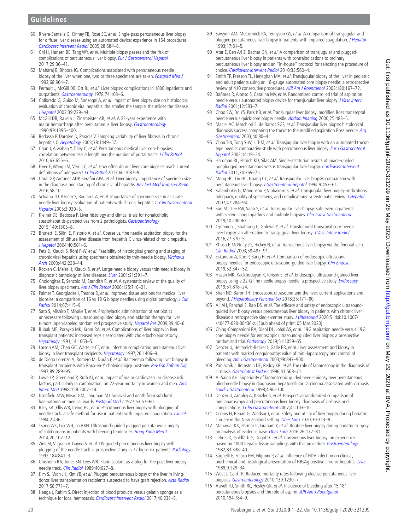# **Guidelines**

- 60 Rivera-Sanfeliz G, Kinney TB, Rose SC, et al. Single-pass percutaneous liver biopsy for diffuse liver disease using an automated device: experience in 154 procedures. [Cardiovasc Intervent Radiol](http://dx.doi.org/10.1007/s00270-004-0017-5) 2005;28:584–8.
- <span id="page-19-0"></span>61 Chi H, Hansen BE, Tang WY, et al. Multiple biopsy passes and the risk of complications of percutaneous liver biopsy. [Eur J Gastroenterol Hepatol](http://dx.doi.org/10.1097/MEG.0000000000000731) 2017;29:36–41.
- 62 Maharaj B, Bhoora IG. Complications associated with percutaneous needle biopsy of the liver when one, two or three specimens are taken. [Postgrad Med J](http://dx.doi.org/10.1136/pgmj.68.806.964) 1992;68:964–7.
- 63 Perrault J, McGill DB, Ott BJ, et al. Liver biopsy: complications in 1000 inpatients and outpatients. [Gastroenterology](http://dx.doi.org/10.1016/0016-5085(78)90364-5) 1978;74:103-6.
- <span id="page-19-1"></span>64 Colloredo G, Guido M, Sonzogni A, et al. Impact of liver biopsy size on histological evaluation of chronic viral hepatitis: the smaller the sample, the milder the disease. [J Hepatol](http://dx.doi.org/10.1016/S0168-8278(03)00191-0) 2003;39:239–44.
- <span id="page-19-31"></span>65 McGill DB, Rakela J, Zinsmeister AR, et al. A 21-year experience with major hemorrhage after percutaneous liver biopsy. [Gastroenterology](http://dx.doi.org/10.1016/0016-5085(90)91167-5) 1990;99:1396–400.
- <span id="page-19-33"></span>66 Bedossa P, Dargère D, Paradis V. Sampling variability of liver fibrosis in chronic hepatitis C. [Hepatology](http://dx.doi.org/10.1053/jhep.2003.09022) 2003;38:1449-57.
- <span id="page-19-34"></span>67 Chan J, Alwahab Y, Tilley C, et al. Percutaneous medical liver core biopsies: correlation between tissue length and the number of portal tracts. [J Clin Pathol](http://dx.doi.org/10.1136/jcp.2010.076273) 2010;63:655–6.
- <span id="page-19-36"></span>68 Fryer E, Wang LM, Verrill C, et al. How often do our liver core biopsies reach current definitions of adequacy? [J Clin Pathol](http://dx.doi.org/10.1136/jclinpath-2013-201440) 2013;66:1087-9.
- 69 Coral GP, Antunes ADP, Serafini APA, et al. Liver biopsy: importance of specimen size in the diagnosis and staging of chronic viral hepatitis. [Rev Inst Med Trop Sao Paulo](http://dx.doi.org/10.1590/S1678-9946201658010) 2016;58:10.
- 70 Schiano TD, Azeem S, Bodian CA, et al. Importance of specimen size in accurate needle liver biopsy evaluation of patients with chronic hepatitis C. Clin Gastroenterol [Hepatol](http://dx.doi.org/10.1016/S1542-3565(05)00541-0) 2005;3:930–5.
- <span id="page-19-32"></span>71 Kleiner DE, Bedossa P. Liver histology and clinical trials for nonalcoholic steatohepatitis-perspectives from 2 pathologists. [Gastroenterology](http://dx.doi.org/10.1053/j.gastro.2015.09.015) 2015;149:1305–8.
- <span id="page-19-2"></span>72 Brunetti E, Silini E, Pistorio A, et al. Coarse vs. fine needle aspiration biopsy for the assessment of diffuse liver disease from hepatitis C virus-related chronic hepatitis. [J Hepatol](http://dx.doi.org/10.1016/j.jhep.2003.11.008) 2004;40:501–6.
- 73 Petz D, Klauck S, Röhl F-W, et al. Feasibility of histological grading and staging of chronic viral hepatitis using specimens obtained by thin-needle biopsy. [Virchows](http://dx.doi.org/10.1007/s00428-002-0749-z)  [Arch](http://dx.doi.org/10.1007/s00428-002-0749-z) 2003;442:238–44.
- 74 Röcken C, Meier H, Klauck S, et al. Large-needle biopsy versus thin-needle biopsy in diagnostic pathology of liver diseases. [Liver](http://dx.doi.org/10.1034/j.1600-0676.2001.210605.x) 2001;21:391-7.
- <span id="page-19-3"></span>75 Cholongitas E, Senzolo M, Standish R, et al. A systematic review of the quality of liver biopsy specimens. [Am J Clin Pathol](http://dx.doi.org/10.1309/W3XCNT4HKFBN2G0B) 2006;125:710-21.
- <span id="page-19-35"></span>76 Palmer T, Georgiades I, Treanor D, et al. Improved tissue sections for medical liver biopsies: a comparison of 16 vs 18 G biopsy needles using digital pathology. *J Clin* [Pathol](http://dx.doi.org/10.1136/jclinpath-2013-201954) 2014;67:415–9.
- <span id="page-19-4"></span>77 Sato S, Mishiro T, Miyake T, et al. Prophylactic administration of antibiotics unnecessary following ultrasound-guided biopsy and ablation therapy for liver tumors: open-labeled randomized prospective study. [Hepatol Res](http://dx.doi.org/10.1111/j.1872-034X.2008.00408.x) 2009;39:40-6.
- <span id="page-19-5"></span>78 Bubak ME, Porayko MK, Krom RA, et al. Complications of liver biopsy in liver transplant patients: increased sepsis associated with choledochojejunostomy. [Hepatology](http://dx.doi.org/10.1002/hep.1840140619) 1991;14:1063–5.
- 79 Larson AM, Chan GC, Wartelle CF, et al. Infection complicating percutaneous liver biopsy in liver transplant recipients. [Hepatology](http://dx.doi.org/10.1002/hep.510260605) 1997;26:1406-9.
- <span id="page-19-6"></span>80 de Diego Lorenzo A, Romero M, Durán F, et al. Bacteremia following liver biopsy in transplant recipients with Roux-en-Y choledochojejunostomy. [Rev Esp Enferm Dig](http://www.ncbi.nlm.nih.gov/pubmed/http://www.ncbi.nlm.nih.gov/pubmed/9168662) 1997;89:289–95.
- 81 Lowe LP, Greenland P, Ruth KJ, et al. Impact of major cardiovascular disease risk factors, particularly in combination, on 22-year mortality in women and men. [Arch](http://dx.doi.org/10.1001/archinte.158.18.2007)  [Intern Med](http://dx.doi.org/10.1001/archinte.158.18.2007) 1998;158:2007–14.
- <span id="page-19-7"></span>82 Dronfield MW, Mead GM, Langman MJ. Survival and death from subdural haematoma on medical wards. [Postgrad Med J](http://dx.doi.org/10.1136/pgmj.53.616.57) 1977;53:57-60.
- <span id="page-19-8"></span>83 Riley SA, Ellis WR, Irving HC, et al. Percutaneous liver biopsy with plugging of needle track: a safe method for use in patients with impaired coagulation. [Lancet](http://dx.doi.org/10.1016/S0140-6736(84)92910-6) 1984;2:436.
- <span id="page-19-9"></span>84 Tsang WK, Luk WH, Lo AXN. Ultrasound-guided plugged percutaneous biopsy of solid organs in patients with bleeding tendencies. [Hong Kong Med J](http://dx.doi.org/10.12809/hkmj133972) 2014;20:107–12.
- 85 Zins M, Vilgrain V, Gayno S, et al. US-guided percutaneous liver biopsy with plugging of the needle track: a prospective study in 72 high-risk patients. [Radiology](http://dx.doi.org/10.1148/radiology.184.3.1509076) 1992;184:841–3.
- <span id="page-19-10"></span>86 Chisholm RA, Jones SN, Lees WR. Fibrin sealant as a plug for the post liver biopsy needle track. [Clin Radiol](http://dx.doi.org/10.1016/S0009-9260(89)80326-5) 1989;40:627–8.
- <span id="page-19-11"></span>87 Kim SJ, Won JH, Kim YB, et al. Plugged percutaneous biopsy of the liver in living-donor liver transplantation recipients suspected to have graft rejection. [Acta Radiol](http://dx.doi.org/10.1177/0284185116673121) 2017;58:771–7.
- <span id="page-19-12"></span>88 Haaga J, Rahim S. Direct injection of blood products versus gelatin sponge as a technique for local hemostasis. [Cardiovasc Intervent Radiol](http://dx.doi.org/10.1007/s00270-016-1494-z) 2017;40:231-5.
- <span id="page-19-13"></span>89 Sawyerr AM, McCormick PA, Tennyson GS, et al. A comparison of transiugular and plugged-percutaneous liver biopsy in patients with impaired coagulation. [J Hepatol](http://dx.doi.org/10.1016/S0168-8278(05)80525-2) 1993;17:81–5.
- <span id="page-19-14"></span>90 Atar E, Ben Ari Z, Bachar GN, et al. A comparison of transiugular and pluggedpercutaneous liver biopsy in patients with contraindications to ordinary percutaneous liver biopsy and an "in-house" protocol for selecting the procedure of choice. [Cardiovasc Intervent Radiol](http://dx.doi.org/10.1007/s00270-009-9743-z) 2010;33:560–4.
- 91 Smith TP, Presson TL, Heneghan MA, et al. Transjugular biopsy of the liver in pediatric and adult patients using an 18-gauge automated core biopsy needle: a retrospective review of 410 consecutive procedures. [AJR Am J Roentgenol](http://dx.doi.org/10.2214/ajr.180.1.1800167) 2003:180:167-72.
- <span id="page-19-15"></span>92 Bañares R, Alonso S, Catalina MV, et al. Randomized controlled trial of aspiration needle versus automated biopsy device for transjugular liver biopsy. J Vasc Interv [Radiol](http://dx.doi.org/10.1016/S1051-0443(07)61479-1) 2001;12:583–7.
- 93 Choo SW, Do YS, Park KB, et al. Transjugular liver biopsy: modified Ross transseptal needle versus quick-core biopsy needle. [Abdom Imaging](http://dx.doi.org/10.1007/s002610000043) 2000;25:483–5.
- 94 Maciel AC, Marchiori E, de Barros SGS, et al. Transjugular liver biopsy: histological diagnosis success comparing the trucut to the modified aspiration Ross needle. Arq [Gastroenterol](http://dx.doi.org/10.1590/S0004-28032003000200004) 2003;40:80–4.
- <span id="page-19-16"></span>95 Chau T-N, Tong S-W, Li T-M, et al. Transjugular liver biopsy with an automated trucuttype needle: comparative study with percutaneous liver biopsy. Eur J Gastroenterol [Hepatol](http://dx.doi.org/10.1097/00042737-200201000-00005) 2002;14:19–24.
- 96 Hardman RL, Perrich KD, Silas AM. Single-institution results of image-guided nonplugged percutaneous versus transjugular liver biopsy. Cardiovasc Intervent [Radiol](http://dx.doi.org/10.1007/s00270-010-9924-9) 2011;34:369–75.
- 97 Meng HC, Lin HC, Huang CC, et al. Transjugular liver biopsy: comparison with percutaneous liver biopsy. [J Gastroenterol Hepatol](http://dx.doi.org/10.1111/j.1440-1746.1994.tb01274.x) 1994;9:457-61.
- <span id="page-19-17"></span>98 Kalambokis G, Manousou P, Vibhakorn S, et al. Transjugular liver biopsy--indications, adequacy, quality of specimens, and complications--a systematic review. [J Hepatol](http://dx.doi.org/10.1016/j.jhep.2007.05.001) 2007;47:284–94.
- 99 Sue MJ, Lee EW, Saab S, et al. Transjugular liver biopsy: safe even in patients with severe coagulopathies and multiple biopsies. [Clin Transl Gastroenterol](http://dx.doi.org/10.14309/ctg.0000000000000063) 2019;10:e00063.
- <span id="page-19-18"></span>100 Cynamon J, Shabrang C, Golowa Y, et al. Transfemoral transcaval core-needle liver biopsy: an alternative to transjugular liver biopsy. [J Vasc Interv Radiol](http://dx.doi.org/10.1016/j.jvir.2015.11.030) 2016;27:370–5.
- <span id="page-19-19"></span>101 Khosa F, McNulty JG, Hickey N, et al. Transvenous liver biopsy via the femoral vein. [Clin Radiol](http://dx.doi.org/10.1016/S0009-9260(02)00576-7) 2003;58:487–91.
- <span id="page-19-20"></span>102 Eskandari A, Koo P, Bang H, et al. Comparison of endoscopic ultrasound biopsy needles for endoscopic ultrasound-guided liver biopsy. [Clin Endosc](http://dx.doi.org/10.5946/ce.2019.005) 2019;52:347–52.
- <span id="page-19-30"></span>103 Hasan MK, Kadkhodayan K, Idrisov E, et al. Endoscopic ultrasound-guided liver biopsy using a 22-G fine needle biopsy needle: a prospective study. [Endoscopy](http://dx.doi.org/10.1055/a-0967-3640) 2019;51:818–24.
- 104 Shah ND, Baron TH. Endoscopic ultrasound and the liver: current applications and beyond. [J Hepatobiliary Pancreat Sci](http://dx.doi.org/10.1002/jhbp.528) 2018;25:171-80.
- <span id="page-19-21"></span>105 Ali AH, Panchal S, Rao DS, et al. The efficacy and safety of endoscopic ultrasoundguided liver biopsy versus percutaneous liver biopsy in patients with chronic liver disease: a retrospective single-center study. [J Ultrasound](http://dx.doi.org/10.1007/s40477-020-00436-z) 2020;5. doi:10.1007/ s40477-020-00436-z. [Epub ahead of print: 05 Mar 2020].
- <span id="page-19-22"></span>106 Ching-Companioni RA, Diehl DL, Johal AS, et al. 19G aspiration needle versus 19G core biopsy needle for endoscopic ultrasound-guided liver biopsy: a prospective randomized trial. [Endoscopy](http://dx.doi.org/10.1055/a-0956-6922) 2019;51:1059-65.
- <span id="page-19-23"></span>107 Denzer U, Helmreich-Becker I, Galle PR, et al. Liver assessment and biopsy in patients with marked coagulopathy: value of mini-laparoscopy and control of bleeding. [Am J Gastroenterol](http://dx.doi.org/10.1111/j.1572-0241.2003.07342.x) 2003;98:893–900.
- 108 Poniachik J, Bernstein DE, Reddy KR, et al. The role of laparoscopy in the diagnosis of cirrhosis. [Gastrointest Endosc](http://dx.doi.org/10.1016/S0016-5107(96)70192-X) 1996;43:568–71.
- <span id="page-19-24"></span>109 Al-Saigh AH. Superiority of laparoscopic guided needle biopsy over percutaneous blind needle biopsy in diagnosing hepatocellular carcinoma associated with cirrhosis. [Saudi J Gastroenterol](http://www.ncbi.nlm.nih.gov/pubmed/http://www.ncbi.nlm.nih.gov/pubmed/19864776) 1998;4:96-100.
- <span id="page-19-25"></span>110 Denzer U, Arnoldy A, Kanzler S, et al. Prospective randomized comparison of minilaparoscopy and percutaneous liver biopsy: diagnosis of cirrhosis and complications. [J Clin Gastroenterol](http://dx.doi.org/10.1097/01.mcg.0000225612.86846.82) 2007;41:103-10.
- <span id="page-19-26"></span>111 Collins H, Beban G, Windsor J, et al. Safety and utility of liver biopsy during bariatric surgery in the New Zealand setting. [Obes Surg](http://dx.doi.org/10.1007/s11695-019-04161-3) 2020;30:313-8.
- 112 Mahawar KK, Parmar C, Graham Y, et al. Routine liver biopsy during bariatric surgery: an analysis of evidence base. [Obes Surg](http://dx.doi.org/10.1007/s11695-015-1916-z) 2016;26:177-81.
- <span id="page-19-27"></span>113 Lebrec D, Goldfarb G, Degott C, et al. Transvenous liver biopsy: an experience based on 1000 hepatic tissue samplings with this procedure. [Gastroenterology](http://www.ncbi.nlm.nih.gov/pubmed/http://www.ncbi.nlm.nih.gov/pubmed/7084612) 1982;83:338–40.
- 114 Sagnelli E, Felaco FM, Filippini P, et al. Influence of HDV infection on clinical, biochemical and histological presentation of HBsAg positive chronic hepatitis. [Liver](http://dx.doi.org/10.1111/j.1600-0676.1989.tb00404.x) 1989;9:229–34.
- <span id="page-19-28"></span>West J, Card TR. Reduced mortality rates following elective percutaneous liver biopsies. [Gastroenterology](http://dx.doi.org/10.1053/j.gastro.2010.06.015) 2010;139:1230-7.
- <span id="page-19-29"></span>116 Atwell TD, Smith RL, Hesley GK, et al. Incidence of bleeding after 15,181 percutaneous biopsies and the role of aspirin. [AJR Am J Roentgenol](http://dx.doi.org/10.2214/AJR.08.2122) 2010;194:784–9.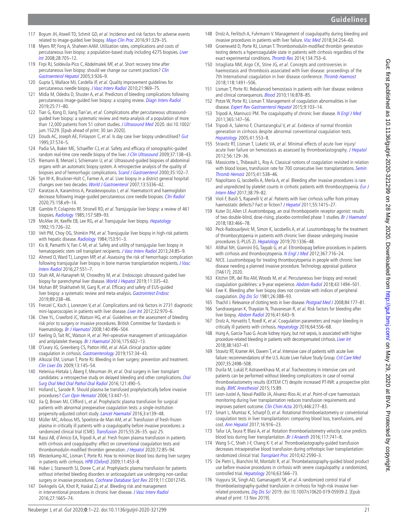- <span id="page-20-0"></span>117 Boyum JH, Atwell TD, Schmit GD, et al. Incidence and risk factors for adverse events related to image-guided liver biopsy. [Mayo Clin Proc](http://dx.doi.org/10.1016/j.mayocp.2015.11.015) 2016;91:329-35.
- <span id="page-20-1"></span>118 Myers RP, Fong A, Shaheen AAM. Utilization rates, complications and costs of percutaneous liver biopsy: a population-based study including 4275 biopsies. Liver [Int](http://dx.doi.org/10.1111/j.1478-3231.2008.01691.x) 2008;28:705–12.
- <span id="page-20-2"></span>119 Firpi RJ, Soldevila-Pico C, Abdelmalek MF, et al. Short recovery time after percutaneous liver biopsy: should we change our current practices? Clin [Gastroenterol Hepatol](http://dx.doi.org/10.1016/S1542-3565(05)00294-6) 2005;3:926–9.
- <span id="page-20-3"></span>120 Gupta S, Wallace MJ, Cardella JF, et al. Quality improvement guidelines for percutaneous needle biopsy. [J Vasc Interv Radiol](http://dx.doi.org/10.1016/j.jvir.2010.01.011) 2010;21:969-75.
- <span id="page-20-4"></span>121 Midia M, Odedra D, Shuster A, et al. Predictors of bleeding complications following percutaneous image-guided liver biopsy: a scoping review. [Diagn Interv Radiol](http://dx.doi.org/10.5152/dir.2018.17525) 2019;25:71–80.
- <span id="page-20-5"></span>122 Tian G, Kong D, Jiang Tian'an, et al. Complications after percutaneous ultrasoundguided liver biopsy: a systematic review and meta-analysis of a population of more than 12,000 patients from 51 cohort studies. [J Ultrasound Med](http://dx.doi.org/10.1002/jum.15229) 2020. doi:10.1002/ jum.15229. [Epub ahead of print: 30 Jan 2020].
- 123 Douds AC, Joseph AE, Finlayson C, et al. Is day case liver biopsy underutilised? [Gut](http://dx.doi.org/10.1136/gut.37.4.574) 1995;37:574–5.
- 124 Padia SA, Baker ME, Schaeffer CJ, et al. Safety and efficacy of sonographic-guided random real-time core needle biopsy of the liver. [J Clin Ultrasound](http://dx.doi.org/10.1002/jcu.20553) 2009;37:138-43.
- 125 Riemann B, Menzel J, Schiemann U, et al. Ultrasound-guided biopsies of abdominal organs with an automatic biopsy system. A retrospective analysis of the quality of biopsies and of hemorrhagic complications. [Scand J Gastroenterol](http://dx.doi.org/10.1080/003655200750024614) 2000;35:102-7.
- 126 Syn W-K, Bruckner-Holt C, Farmer A, et al. Liver biopsy in a district general hospital: changes over two decades. [World J Gastroenterol](http://dx.doi.org/10.3748/wjg.v13.i40.5336) 2007;13:5336-42.
- <span id="page-20-6"></span>127 Karatzas A, Karamitros A, Paraskevopoulos I, et al. Haematocrit and haemoglobin decrease following image-guided percutaneous core needle biopsies. [Clin Radiol](http://dx.doi.org/10.1016/j.crad.2019.10.010) 2020;75:158.e9–14.
- <span id="page-20-7"></span>128 Gamble P, Colapinto RF, Stronell RD, et al. Transjugular liver biopsy: a review of 461 biopsies. [Radiology](http://dx.doi.org/10.1148/radiology.157.3.4059543) 1985;157:589–93.
- <span id="page-20-8"></span>129 McAfee JH, Keeffe EB, Lee RG, et al. Transjugular liver biopsy. [Hepatology](http://dx.doi.org/10.1002/hep.1840150429) 1992;15:726–32.
- <span id="page-20-9"></span>130 Velt PM, Choy OG, Shimkin PM, et al. Transjugular liver biopsy in high-risk patients with hepatic disease. [Radiology](http://dx.doi.org/10.1148/radiology.153.1.6473806) 1984;153:91-3.
- <span id="page-20-10"></span>131 Kis B, Pamarthi V, Fan C-M, et al. Safety and utility of transjugular liver biopsy in hematopoietic stem cell transplant recipients. [J Vasc Interv Radiol](http://dx.doi.org/10.1016/j.jvir.2012.09.011) 2013;24:85-9.
- <span id="page-20-11"></span>132 Ahmed O, Ward TJ, Lungren MP, et al. Assessing the risk of hemorrhagic complication following transjugular liver biopsy in bone marrow transplantation recipients. J Vasc [Interv Radiol](http://dx.doi.org/10.1016/j.jvir.2016.01.007) 2016;27:551–7.
- <span id="page-20-12"></span>133 Shah AR, Al-Hanayneh M, Chowdhry M, et al. Endoscopic ultrasound guided liver biopsy for parenchymal liver disease. [World J Hepatol](http://dx.doi.org/10.4254/wjh.v11.i4.335) 2019;11:335-43.
- <span id="page-20-13"></span>134 Mohan BP, Shakhatreh M, Garg R, et al. Efficacy and safety of EUS-quided liver biopsy: a systematic review and meta-analysis. [Gastrointest Endosc](http://dx.doi.org/10.1016/j.gie.2018.10.018) 2019;89:238–46.
- <span id="page-20-14"></span>135 Frenzel C, Koch J, Lorenzen V, et al. Complications and risk factors in 2731 diagnostic mini-laparoscopies in patients with liver disease. [Liver Int](http://dx.doi.org/10.1111/j.1478-3231.2012.02767.x) 2012;32:970-6.
- <span id="page-20-15"></span>136 Chee YL, Crawford JC, Watson HG, et al. Guidelines on the assessment of bleeding risk prior to surgery or invasive procedures. British Committee for Standards in Haematology. [Br J Haematol](http://dx.doi.org/10.1111/j.1365-2141.2007.06968.x) 2008;140:496–504.
- <span id="page-20-33"></span>137 Keeling D, Tait RC, Watson H, et al. Peri-operative management of anticoagulation and antiplatelet therapy. [Br J Haematol](http://dx.doi.org/10.1111/bjh.14344) 2016;175:602-13.
- <span id="page-20-16"></span>138 O'Leary JG, Greenberg CS, Patton HM, et al. AGA clinical practice update: coagulation in cirrhosis. [Gastroenterology](http://dx.doi.org/10.1053/j.gastro.2019.03.070) 2019;157:34-43.
- <span id="page-20-17"></span>139 Alkozai EM, Lisman T, Porte RJ. Bleeding in liver surgery: prevention and treatment. [Clin Liver Dis](http://dx.doi.org/10.1016/j.cld.2008.09.012) 2009;13:145–54.
- 140 Helenius-Hietala J, Åberg F, Meurman JH, et al. Oral surgery in liver transplant candidates: a retrospective study on delayed bleeding and other complications. [Oral](http://dx.doi.org/10.1016/j.oooo.2016.01.025)  [Surg Oral Med Oral Pathol Oral Radiol](http://dx.doi.org/10.1016/j.oooo.2016.01.025) 2016;121:490–5.
- 141 Holland L, Sarode R. Should plasma be transfused prophylactically before invasive procedures? [Curr Opin Hematol](http://dx.doi.org/10.1097/01.moh.0000245688.47333.b6) 2006;13:447-51.
- 142 Jia Q, Brown MJ, Clifford L, et al. Prophylactic plasma transfusion for surgical patients with abnormal preoperative coagulation tests: a single-institution propensity-adjusted cohort study. [Lancet Haematol](http://dx.doi.org/10.1016/S2352-3026(15)00283-5) 2016;3:e139–48.
- 143 Müller MC, Arbous MS, Spoelstra-de Man AM, et al. Transfusion of fresh-frozen plasma in critically ill patients with a coagulopathy before invasive procedures: a randomized clinical trial (CME). [Transfusion](http://dx.doi.org/10.1111/trf.12750) 2015;55:26–35. quiz 25.
- 144 Rassi AB, d'Amico EA, Tripodi A, et al. Fresh frozen plasma transfusion in patients with cirrhosis and coagulopathy: effect on conventional coagulation tests and thrombomodulin-modified thrombin generation. [J Hepatol](http://dx.doi.org/10.1016/j.jhep.2019.09.008) 2020;72:85–94.
- <span id="page-20-21"></span>145 Westerkamp AC, Lisman T, Porte RJ. How to minimize blood loss during liver surgery in patients with cirrhosis. [HPB \(Oxford\)](http://dx.doi.org/10.1111/j.1477-2574.2009.00078.x) 2009;11:453-8.
- <span id="page-20-18"></span>146 Huber J, Stanworth SJ, Doree C, et al. Prophylactic plasma transfusion for patients without inherited bleeding disorders or anticoagulant use undergoing non-cardiac surgery or invasive procedures. [Cochrane Database Syst Rev](http://dx.doi.org/10.1002/14651858.CD012745.pub2) 2019;11:CD012745.
- <span id="page-20-19"></span>147 DeAngelis GA, Khot R, Haskal ZJ, et al. Bleeding risk and management in interventional procedures in chronic liver disease. [J Vasc Interv Radiol](http://dx.doi.org/10.1016/j.jvir.2016.05.039)
- 148 Drolz A, Ferlitsch A, Fuhrmann V. Management of coagulopathy during bleeding and invasive procedures in patients with liver failure. [Visc Med](http://dx.doi.org/10.1159/000491106) 2018;34:254–60.
- 149 Groeneveld D, Porte RJ, Lisman T. Thrombomodulin-modified thrombin generation testing detects a hypercoagulable state in patients with cirrhosis regardless of the exact experimental conditions. [Thromb Res](http://dx.doi.org/10.1016/j.thromres.2014.07.010) 2014;134:753-6.
- <span id="page-20-22"></span>150 Intagliata NM, Argo CK, Stine JG, et al. Concepts and controversies in haemostasis and thrombosis associated with liver disease: proceedings of the 7th International coagulation in liver disease conference. [Thromb Haemost](http://dx.doi.org/10.1055/s-0038-1666861) 2018;118:1491–506.
- 151 Lisman T, Porte RJ. Rebalanced hemostasis in patients with liver disease: evidence and clinical consequences. **[Blood](http://dx.doi.org/10.1182/blood-2010-02-261891)** 2010;116:878-85.
- 152 Potze W, Porte RJ, Lisman T. Management of coagulation abnormalities in liver disease. [Expert Rev Gastroenterol Hepatol](http://dx.doi.org/10.1586/17474124.2014.934673) 2015;9:103–14.
- 153 Tripodi A, Mannucci PM. The coagulopathy of chronic liver disease. [N Engl J Med](http://dx.doi.org/10.1056/NEJMra1011170) 2011;365:147–56.
- 154 Tripodi A, Salerno F, Chantarangkul V, et al. Evidence of normal thrombin generation in cirrhosis despite abnormal conventional coagulation tests. [Hepatology](http://dx.doi.org/10.1002/hep.20569) 2005;41:553–8.
- <span id="page-20-20"></span>155 Stravitz RT, Lisman T, Luketic VA, et al. Minimal effects of acute liver injury/ acute liver failure on hemostasis as assessed by thromboelastography. [J Hepatol](http://dx.doi.org/10.1016/j.jhep.2011.04.020) 2012;56:129–36.
- 156 Massicotte L, Thibeault L, Roy A. Classical notions of coagulation revisited in relation with blood losses, transfusion rate for 700 consecutive liver transplantations. Semin [Thromb Hemost](http://dx.doi.org/10.1055/s-0035-1550428) 2015;41:538–46.
- 157 Napolitano G, Iacobellis A, Merla A, et al. Bleeding after invasive procedures is rare and unpredicted by platelet counts in cirrhotic patients with thrombocytopenia. Eur J [Intern Med](http://dx.doi.org/10.1016/j.ejim.2016.11.007) 2017;38:79–82.
- 158 Violi F, Basili S, Raparelli V, et al. Patients with liver cirrhosis suffer from primary haemostatic defects? Fact or fiction? [J Hepatol](http://dx.doi.org/10.1016/j.jhep.2011.06.008) 2011;55:1415-27.
- 159 Kuter DJ, Allen LF. Avatrombopag, an oral thrombopoietin receptor agonist: results of two double-blind, dose-rising, placebo-controlled phase 1 studies. [Br J Haematol](http://dx.doi.org/10.1111/bjh.15574) 2018;183:466–78.
- 160 Peck-Radosavljevic M, Simon K, Iacobellis A, et al. Lusutrombopag for the treatment of thrombocytopenia in patients with chronic liver disease undergoing invasive procedures (L-PLUS 2). [Hepatology](http://dx.doi.org/10.1002/hep.30561) 2019;70:1336-48.
- <span id="page-20-23"></span>161 Afdhal NH, Giannini EG, Tayyab G, et al. Eltrombopag before procedures in patients with cirrhosis and thrombocytopenia. [N Engl J Med](http://dx.doi.org/10.1056/NEJMoa1110709) 2012;367:716-24.
- <span id="page-20-24"></span>162 NICE. Lusutrombopag for treating thrombocytopenia in people with chronic liver disease needing a planned invasive procedure. Technology appraisal guidance [TA617]; 2020.
- <span id="page-20-25"></span>163 Kitchin DR, del Rio AM, Woods M, et al. Percutaneous liver biopsy and revised coagulation guidelines: a 9-year experience. [Abdom Radiol](http://dx.doi.org/10.1007/s00261-017-1319-9) 2018;43:1494-501.
- <span id="page-20-26"></span>164 Ewe K. Bleeding after liver biopsy does not correlate with indices of peripheral coagulation. [Dig Dis Sci](http://dx.doi.org/10.1007/BF01313579) 1981;26:388-93.
- 165 Thachil J. Relevance of clotting tests in liver disease. [Postgrad Med J](http://dx.doi.org/10.1136/pgmj.2007.066415) 2008;84:177-81.
- <span id="page-20-27"></span>166 Sandrasegaran K, Thayalan N, Thavanesan R, et al. Risk factors for bleeding after liver biopsy. [Abdom Radiol](http://dx.doi.org/10.1007/s00261-016-0655-5) 2016;41:643-9.
- <span id="page-20-28"></span>167 Drolz A, Horvatits T, Roedl K, et al. Coagulation parameters and major bleeding in critically ill patients with cirrhosis. [Hepatology](http://dx.doi.org/10.1002/hep.28628) 2016;64:556–68.
- <span id="page-20-29"></span>168 Hung A, Garcia-Tsao G. Acute kidney injury, but not sepsis, is associated with higher procedure-related bleeding in patients with decompensated cirrhosis. [Liver Int](http://dx.doi.org/10.1111/liv.13712) 2018;38:1437–41.
- 169 Stravitz RT, Kramer AH, Davern T, et al. Intensive care of patients with acute liver failure: recommendations of the U.S. Acute Liver Failure Study Group. [Crit Care Med](http://dx.doi.org/10.1097/01.CCM.0000287592.94554.5F) 2007;35:2498–508.
- <span id="page-20-30"></span>170 Durila M, Lukáš P, Astraverkhava M, et al. Tracheostomy in intensive care unit patients can be performed without bleeding complications in case of normal thromboelastometry results (EXTEM CT) despite increased PT-INR: a prospective pilot study. **[BMC Anesthesiol](http://dx.doi.org/10.1186/s12871-015-0073-1)** 2015:15:89.
- 171 Leon-Justel A, Noval-Padillo JA, Alvarez-Rios AI, et al. Point-of-care haemostasis monitoring during liver transplantation reduces transfusion requirements and improves patient outcome. [Clin Chim Acta](http://dx.doi.org/10.1016/j.cca.2015.04.022) 2015;446:277-83.
- 172 Smart L, Mumtaz K, Scharpf D, et al. Rotational thromboelastometry or conventional coagulation tests in liver transplantation: comparing blood loss, transfusions, and cost. [Ann Hepatol](http://dx.doi.org/10.5604/01.3001.0010.5283) 2017;16:916–23.
- 173 Tafur LA, Taura P, Blasi A, et al. Rotation thromboelastometry velocity curve predicts blood loss during liver transplantation. [Br J Anaesth](http://dx.doi.org/10.1093/bja/aew344) 2016;117:741-8.
- 174 Wang S-C, Shieh J-F, Chang K-Y, et al. Thromboelastography-guided transfusion decreases intraoperative blood transfusion during orthotopic liver transplantation: randomized clinical trial. [Transplant Proc](http://dx.doi.org/10.1016/j.transproceed.2010.05.144) 2010;42:2590-3.
- <span id="page-20-31"></span>175 De Pietri L, Bianchini M, Montalti R, et al. Thrombelastography-guided blood product use before invasive procedures in cirrhosis with severe coagulopathy: a randomized, controlled trial. [Hepatology](http://dx.doi.org/10.1002/hep.28148) 2016;63:566-73.
- <span id="page-20-32"></span>176 Vuyyuru SK, Singh AD, Gamanagatti SR, et al. A randomized control trial of thromboelastography-guided transfusion in cirrhosis for high-risk invasive liver-related procedures. [Dig Dis Sci](http://dx.doi.org/10.1007/s10620-019-05939-2) 2019. doi:10.1007/s10620-019-05939-2. [Epub ahead of print: 13 Nov 2019].

Neuberger J, et al. Gut 2020;**0**:1–22. doi:10.1136/gutjnl-2020-321299 21